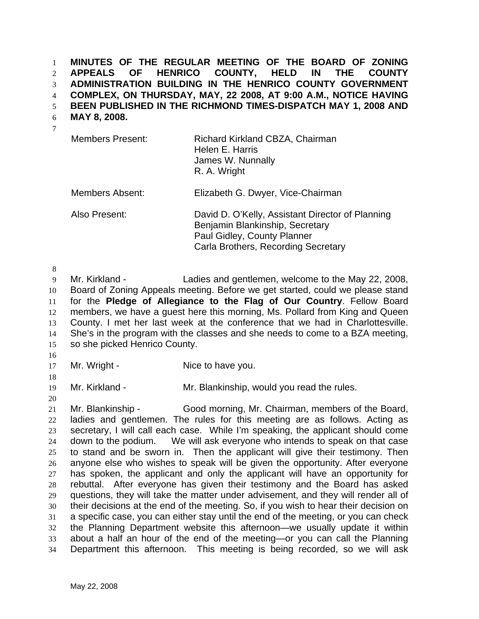**MINUTES OF THE REGULAR MEETING OF THE BOARD OF ZONING APPEALS OF HENRICO COUNTY, HELD IN THE COUNTY ADMINISTRATION BUILDING IN THE HENRICO COUNTY GOVERNMENT COMPLEX, ON THURSDAY, MAY, 22 2008, AT 9:00 A.M., NOTICE HAVING BEEN PUBLISHED IN THE RICHMOND TIMES-DISPATCH MAY 1, 2008 AND**  1 2 3 4 5

**MAY 8, 2008.**  6

| v |  |
|---|--|
|   |  |

| <b>Members Present:</b> | Richard Kirkland CBZA, Chairman<br>Helen E. Harris<br>James W. Nunnally<br>R. A. Wright |
|-------------------------|-----------------------------------------------------------------------------------------|
| Members Absent:         | Elizabeth G. Dwyer, Vice-Chairman                                                       |

Also Present: David D. O'Kelly, Assistant Director of Planning Benjamin Blankinship, Secretary Paul Gidley, County Planner Carla Brothers, Recording Secretary

8

9 10 11 12 13 14 15 Mr. Kirkland - Ladies and gentlemen, welcome to the May 22, 2008, Board of Zoning Appeals meeting. Before we get started, could we please stand for the **Pledge of Allegiance to the Flag of Our Country**. Fellow Board members, we have a guest here this morning, Ms. Pollard from King and Queen County. I met her last week at the conference that we had in Charlottesville. She's in the program with the classes and she needs to come to a BZA meeting, so she picked Henrico County.

16 17

Mr. Wright - Nice to have you.

18 19

20

Mr. Kirkland - The Mr. Blankinship, would you read the rules.

21 22 23 24 25 26 27 28 29 30 31 32 33 34 Mr. Blankinship - Good morning, Mr. Chairman, members of the Board, ladies and gentlemen. The rules for this meeting are as follows. Acting as secretary, I will call each case. While I'm speaking, the applicant should come down to the podium. We will ask everyone who intends to speak on that case to stand and be sworn in. Then the applicant will give their testimony. Then anyone else who wishes to speak will be given the opportunity. After everyone has spoken, the applicant and only the applicant will have an opportunity for rebuttal. After everyone has given their testimony and the Board has asked questions, they will take the matter under advisement, and they will render all of their decisions at the end of the meeting. So, if you wish to hear their decision on a specific case, you can either stay until the end of the meeting, or you can check the Planning Department website this afternoon—we usually update it within about a half an hour of the end of the meeting—or you can call the Planning Department this afternoon. This meeting is being recorded, so we will ask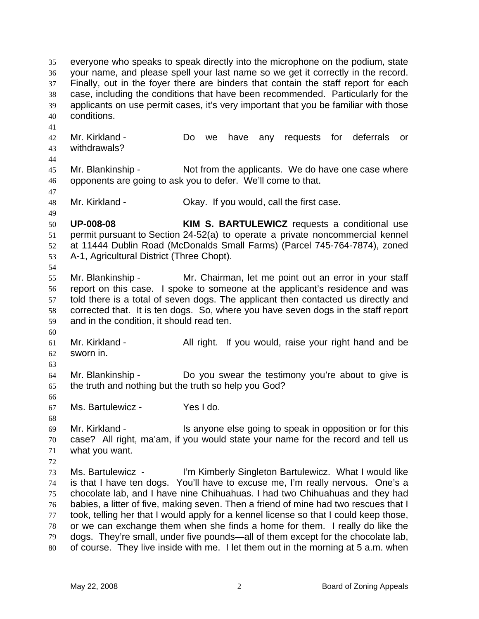everyone who speaks to speak directly into the microphone on the podium, state your name, and please spell your last name so we get it correctly in the record. Finally, out in the foyer there are binders that contain the staff report for each case, including the conditions that have been recommended. Particularly for the applicants on use permit cases, it's very important that you be familiar with those conditions. 35 36 37 38 39 40 41 42 43 44 45 46 47 48 49 50 51 52 53 54 55 56 57 58 59 60 61 62 63 64 65 66 67 68 69 70 71 72 73 74 75 76 77 78 79 80 Mr. Kirkland - The Do we have any requests for deferrals or withdrawals? Mr. Blankinship - Not from the applicants. We do have one case where opponents are going to ask you to defer. We'll come to that. Mr. Kirkland - Chay. If you would, call the first case. **UP-008-08 KIM S. BARTULEWICZ** requests a conditional use permit pursuant to Section 24-52(a) to operate a private noncommercial kennel at 11444 Dublin Road (McDonalds Small Farms) (Parcel 745-764-7874), zoned A-1, Agricultural District (Three Chopt). Mr. Blankinship - Mr. Chairman, let me point out an error in your staff report on this case. I spoke to someone at the applicant's residence and was told there is a total of seven dogs. The applicant then contacted us directly and corrected that. It is ten dogs. So, where you have seven dogs in the staff report and in the condition, it should read ten. Mr. Kirkland - The All right. If you would, raise your right hand and be sworn in. Mr. Blankinship - Do you swear the testimony you're about to give is the truth and nothing but the truth so help you God? Ms. Bartulewicz - Yes I do. Mr. Kirkland - This anyone else going to speak in opposition or for this case? All right, ma'am, if you would state your name for the record and tell us what you want. Ms. Bartulewicz - I'm Kimberly Singleton Bartulewicz. What I would like is that I have ten dogs. You'll have to excuse me, I'm really nervous. One's a chocolate lab, and I have nine Chihuahuas. I had two Chihuahuas and they had babies, a litter of five, making seven. Then a friend of mine had two rescues that I took, telling her that I would apply for a kennel license so that I could keep those, or we can exchange them when she finds a home for them. I really do like the dogs. They're small, under five pounds—all of them except for the chocolate lab, of course. They live inside with me. I let them out in the morning at 5 a.m. when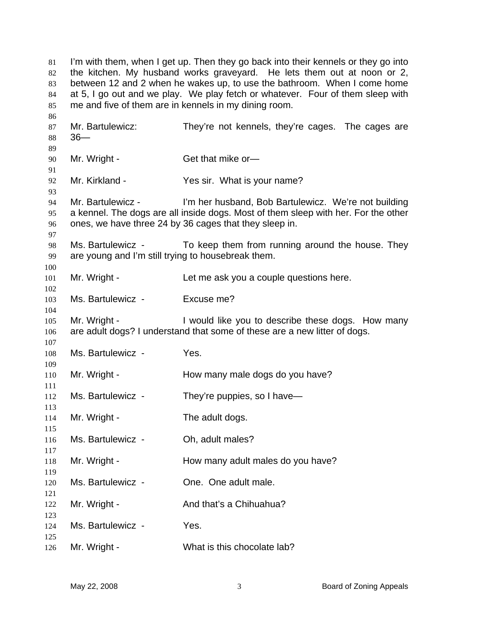I'm with them, when I get up. Then they go back into their kennels or they go into the kitchen. My husband works graveyard. He lets them out at noon or 2, between 12 and 2 when he wakes up, to use the bathroom. When I come home at 5, I go out and we play. We play fetch or whatever. Four of them sleep with me and five of them are in kennels in my dining room. Mr. Bartulewicz: They're not kennels, they're cages. The cages are 36— Mr. Wright - Get that mike or-Mr. Kirkland - The Yes sir. What is your name? Mr. Bartulewicz - I'm her husband, Bob Bartulewicz. We're not building a kennel. The dogs are all inside dogs. Most of them sleep with her. For the other ones, we have three 24 by 36 cages that they sleep in. Ms. Bartulewicz - To keep them from running around the house. They are young and I'm still trying to housebreak them. Mr. Wright - Let me ask you a couple questions here. Ms. Bartulewicz - Fxcuse me? Mr. Wright - I would like you to describe these dogs. How many are adult dogs? I understand that some of these are a new litter of dogs. Ms. Bartulewicz - Yes. Mr. Wright - **How many male dogs do you have?** Ms. Bartulewicz - They're puppies, so I have— Mr. Wright - The adult dogs. Ms. Bartulewicz - Ch. adult males? Mr. Wright - **How many adult males do you have?** Ms. Bartulewicz - Che. One adult male. Mr. Wright - And that's a Chihuahua? Ms. Bartulewicz - Yes. Mr. Wright - What is this chocolate lab?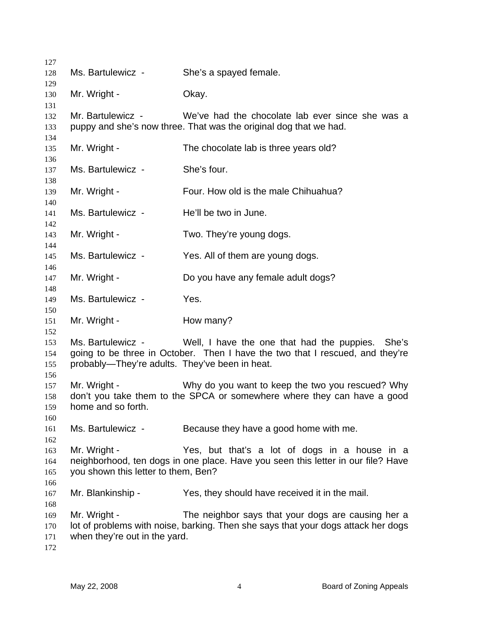Ms. Bartulewicz - She's a spayed female. Mr. Wright - Chay. Mr. Bartulewicz - We've had the chocolate lab ever since she was a puppy and she's now three. That was the original dog that we had. Mr. Wright - The chocolate lab is three years old? Ms. Bartulewicz - She's four. Mr. Wright - Four. How old is the male Chihuahua? Ms. Bartulewicz - He'll be two in June. Mr. Wright - Two. They're young dogs. Ms. Bartulewicz - Yes. All of them are young dogs. Mr. Wright - Do you have any female adult dogs? Ms. Bartulewicz - Yes. Mr. Wright - **How many?** Ms. Bartulewicz - Well, I have the one that had the puppies. She's going to be three in October. Then I have the two that I rescued, and they're probably—They're adults. They've been in heat. Mr. Wright - Why do you want to keep the two you rescued? Why don't you take them to the SPCA or somewhere where they can have a good home and so forth. Ms. Bartulewicz - Because they have a good home with me. Mr. Wright - The Yes, but that's a lot of dogs in a house in a neighborhood, ten dogs in one place. Have you seen this letter in our file? Have you shown this letter to them, Ben? Mr. Blankinship - Yes, they should have received it in the mail. Mr. Wright - The neighbor says that your dogs are causing her a lot of problems with noise, barking. Then she says that your dogs attack her dogs when they're out in the yard.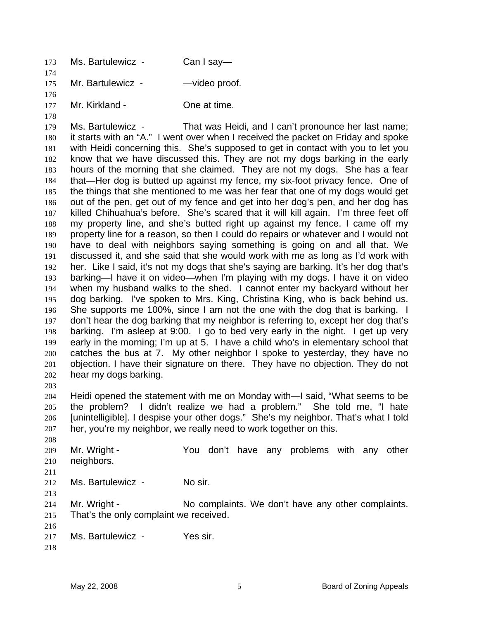| 173 | Ms. Bartulewicz - | Can I say—    |
|-----|-------------------|---------------|
| 174 |                   |               |
| 175 | Mr. Bartulewicz - | -video proof. |
| 176 |                   |               |
| 177 | Mr. Kirkland -    | One at time.  |

179 180 181 182 183 184 185 186 187 188 189 190 191 192 193 194 195 196 197 198 199 200 201 202 Ms. Bartulewicz - That was Heidi, and I can't pronounce her last name; it starts with an "A." I went over when I received the packet on Friday and spoke with Heidi concerning this. She's supposed to get in contact with you to let you know that we have discussed this. They are not my dogs barking in the early hours of the morning that she claimed. They are not my dogs. She has a fear that—Her dog is butted up against my fence, my six-foot privacy fence. One of the things that she mentioned to me was her fear that one of my dogs would get out of the pen, get out of my fence and get into her dog's pen, and her dog has killed Chihuahua's before. She's scared that it will kill again. I'm three feet off my property line, and she's butted right up against my fence. I came off my property line for a reason, so then I could do repairs or whatever and I would not have to deal with neighbors saying something is going on and all that. We discussed it, and she said that she would work with me as long as I'd work with her. Like I said, it's not my dogs that she's saying are barking. It's her dog that's barking—I have it on video—when I'm playing with my dogs. I have it on video when my husband walks to the shed. I cannot enter my backyard without her dog barking. I've spoken to Mrs. King, Christina King, who is back behind us. She supports me 100%, since I am not the one with the dog that is barking. I don't hear the dog barking that my neighbor is referring to, except her dog that's barking. I'm asleep at 9:00. I go to bed very early in the night. I get up very early in the morning; I'm up at 5. I have a child who's in elementary school that catches the bus at 7. My other neighbor I spoke to yesterday, they have no objection. I have their signature on there. They have no objection. They do not hear my dogs barking.

203

178

204 205 206 207 Heidi opened the statement with me on Monday with—I said, "What seems to be the problem? I didn't realize we had a problem." She told me, "I hate [unintelligible]. I despise your other dogs." She's my neighbor. That's what I told her, you're my neighbor, we really need to work together on this.

208 209 210 211 212 Mr. Wright - The You don't have any problems with any other neighbors. Ms. Bartulewicz - No sir.

213

- 214 215 Mr. Wright - No complaints. We don't have any other complaints. That's the only complaint we received.
- 217 Ms. Bartulewicz - Yes sir.
- 218

216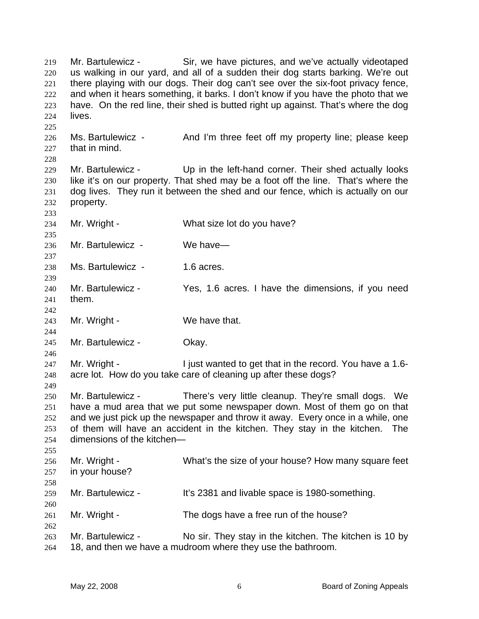Mr. Bartulewicz - Sir, we have pictures, and we've actually videotaped us walking in our yard, and all of a sudden their dog starts barking. We're out there playing with our dogs. Their dog can't see over the six-foot privacy fence, and when it hears something, it barks. I don't know if you have the photo that we have. On the red line, their shed is butted right up against. That's where the dog lives. 219 220 221 222 223 224 225 226 227 228 229 230 231 232 233 234 235 236 237 238 239 240 241 242 243 244 245 246 247 248 249 250 251 252 253 254 255 256 257 258 259 260 261 262 263 264 Ms. Bartulewicz - And I'm three feet off my property line; please keep that in mind. Mr. Bartulewicz - Up in the left-hand corner. Their shed actually looks like it's on our property. That shed may be a foot off the line. That's where the dog lives. They run it between the shed and our fence, which is actually on our property. Mr. Wright - What size lot do you have? Mr. Bartulewicz - We have— Ms. Bartulewicz - 1.6 acres. Mr. Bartulewicz - Yes, 1.6 acres. I have the dimensions, if you need them. Mr. Wright - We have that. Mr. Bartulewicz - **Okay.** Mr. Wright - The I just wanted to get that in the record. You have a 1.6acre lot. How do you take care of cleaning up after these dogs? Mr. Bartulewicz - There's very little cleanup. They're small dogs. We have a mud area that we put some newspaper down. Most of them go on that and we just pick up the newspaper and throw it away. Every once in a while, one of them will have an accident in the kitchen. They stay in the kitchen. The dimensions of the kitchen— Mr. Wright - What's the size of your house? How many square feet in your house? Mr. Bartulewicz - It's 2381 and livable space is 1980-something. Mr. Wright - The dogs have a free run of the house? Mr. Bartulewicz - No sir. They stay in the kitchen. The kitchen is 10 by 18, and then we have a mudroom where they use the bathroom.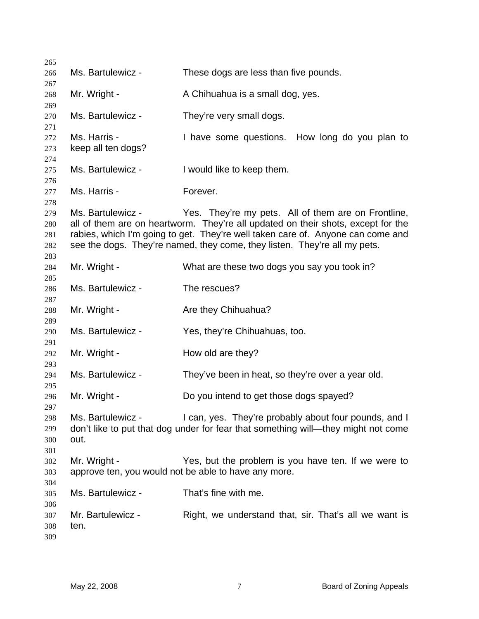| 265        |                    |                                                                                   |
|------------|--------------------|-----------------------------------------------------------------------------------|
| 266        | Ms. Bartulewicz -  | These dogs are less than five pounds.                                             |
| 267        |                    |                                                                                   |
| 268        | Mr. Wright -       | A Chihuahua is a small dog, yes.                                                  |
| 269<br>270 | Ms. Bartulewicz -  | They're very small dogs.                                                          |
| 271        |                    |                                                                                   |
| 272        | Ms. Harris -       | I have some questions. How long do you plan to                                    |
| 273        | keep all ten dogs? |                                                                                   |
| 274        |                    |                                                                                   |
| 275        | Ms. Bartulewicz -  | I would like to keep them.                                                        |
| 276        | Ms. Harris -       |                                                                                   |
| 277<br>278 |                    | Forever.                                                                          |
| 279        | Ms. Bartulewicz -  | Yes. They're my pets. All of them are on Frontline,                               |
| 280        |                    | all of them are on heartworm. They're all updated on their shots, except for the  |
| 281        |                    | rabies, which I'm going to get. They're well taken care of. Anyone can come and   |
| 282        |                    | see the dogs. They're named, they come, they listen. They're all my pets.         |
| 283        |                    |                                                                                   |
| 284        | Mr. Wright -       | What are these two dogs you say you took in?                                      |
| 285<br>286 | Ms. Bartulewicz -  | The rescues?                                                                      |
| 287        |                    |                                                                                   |
| 288        | Mr. Wright -       | Are they Chihuahua?                                                               |
| 289        |                    |                                                                                   |
| 290<br>291 | Ms. Bartulewicz -  | Yes, they're Chihuahuas, too.                                                     |
| 292        | Mr. Wright -       | How old are they?                                                                 |
| 293        |                    |                                                                                   |
| 294        | Ms. Bartulewicz -  | They've been in heat, so they're over a year old.                                 |
| 295        |                    |                                                                                   |
| 296        | Mr. Wright -       | Do you intend to get those dogs spayed?                                           |
| 297<br>298 | Ms. Bartulewicz -  | I can, yes. They're probably about four pounds, and I                             |
| 299        |                    | don't like to put that dog under for fear that something will—they might not come |
| 300        | out.               |                                                                                   |
| 301        |                    |                                                                                   |
| 302        | Mr. Wright -       | Yes, but the problem is you have ten. If we were to                               |
| 303        |                    | approve ten, you would not be able to have any more.                              |
| 304        |                    |                                                                                   |
| 305        | Ms. Bartulewicz -  | That's fine with me.                                                              |
| 306<br>307 | Mr. Bartulewicz -  | Right, we understand that, sir. That's all we want is                             |
| 308        | ten.               |                                                                                   |
| 309        |                    |                                                                                   |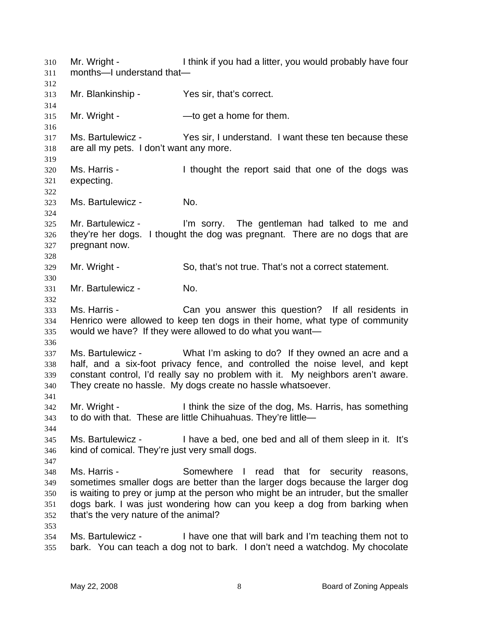Mr. Wright - Think if you had a litter, you would probably have four months—I understand that— 310 311 312 313 314 315 316 317 318 319 320 321 322 323 324 325 326 327 328 329 330 331 332 333 334 335 336 337 338 339 340 341 342 343 344 345 346 347 348 349 350 351 352 353 354 355 Mr. Blankinship - Yes sir, that's correct. Mr. Wright - — — to get a home for them. Ms. Bartulewicz - Yes sir, I understand. I want these ten because these are all my pets. I don't want any more. Ms. Harris - The I thought the report said that one of the dogs was expecting. Ms. Bartulewicz - **No.** Mr. Bartulewicz - I'm sorry. The gentleman had talked to me and they're her dogs. I thought the dog was pregnant. There are no dogs that are pregnant now. Mr. Wright - So, that's not true. That's not a correct statement. Mr. Bartulewicz - No. Ms. Harris - The Can you answer this question? If all residents in Henrico were allowed to keep ten dogs in their home, what type of community would we have? If they were allowed to do what you want— Ms. Bartulewicz - What I'm asking to do? If they owned an acre and a half, and a six-foot privacy fence, and controlled the noise level, and kept constant control, I'd really say no problem with it. My neighbors aren't aware. They create no hassle. My dogs create no hassle whatsoever. Mr. Wright - Think the size of the dog, Ms. Harris, has something to do with that. These are little Chihuahuas. They're little— Ms. Bartulewicz - I have a bed, one bed and all of them sleep in it. It's kind of comical. They're just very small dogs. Ms. Harris - Somewhere I read that for security reasons, sometimes smaller dogs are better than the larger dogs because the larger dog is waiting to prey or jump at the person who might be an intruder, but the smaller dogs bark. I was just wondering how can you keep a dog from barking when that's the very nature of the animal? Ms. Bartulewicz - I have one that will bark and I'm teaching them not to bark. You can teach a dog not to bark. I don't need a watchdog. My chocolate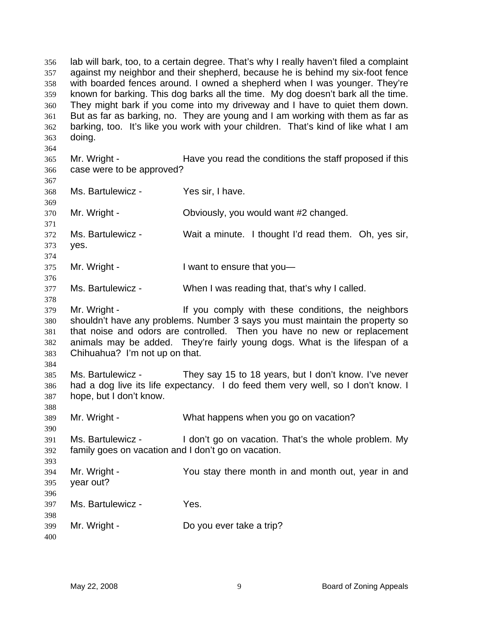lab will bark, too, to a certain degree. That's why I really haven't filed a complaint against my neighbor and their shepherd, because he is behind my six-foot fence with boarded fences around. I owned a shepherd when I was younger. They're known for barking. This dog barks all the time. My dog doesn't bark all the time. They might bark if you come into my driveway and I have to quiet them down. But as far as barking, no. They are young and I am working with them as far as barking, too. It's like you work with your children. That's kind of like what I am doing. 356 357 358 359 360 361 362 363 364 365 366 367 368 369 370 371 372 373 374 375 376 377 378 379 380 381 382 383 384 385 386 387 388 389 390 391 392 393 394 395 396 397 398 399 400 Mr. Wright - Have you read the conditions the staff proposed if this case were to be approved? Ms. Bartulewicz - Yes sir, I have. Mr. Wright - Choviously, you would want #2 changed. Ms. Bartulewicz - Wait a minute. I thought I'd read them. Oh, yes sir, yes. Mr. Wright - I want to ensure that you-Ms. Bartulewicz - When I was reading that, that's why I called. Mr. Wright - The Muslim of the Vietnam Mr. Wright - If you comply with these conditions, the neighbors shouldn't have any problems. Number 3 says you must maintain the property so that noise and odors are controlled. Then you have no new or replacement animals may be added. They're fairly young dogs. What is the lifespan of a Chihuahua? I'm not up on that. Ms. Bartulewicz - They say 15 to 18 years, but I don't know. I've never had a dog live its life expectancy. I do feed them very well, so I don't know. I hope, but I don't know. Mr. Wright - What happens when you go on vacation? Ms. Bartulewicz - I don't go on vacation. That's the whole problem. My family goes on vacation and I don't go on vacation. Mr. Wright - The You stay there month in and month out, year in and year out? Ms. Bartulewicz - Yes. Mr. Wright - Do you ever take a trip?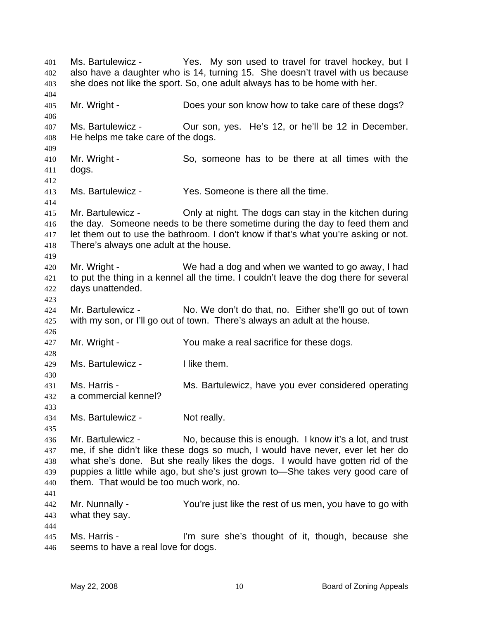Ms. Bartulewicz - Thes. My son used to travel for travel hockey, but I also have a daughter who is 14, turning 15. She doesn't travel with us because she does not like the sport. So, one adult always has to be home with her. 401 402 403 404 405 406 407 408 409 410 411 412 413 414 415 416 417 418 419 420 421 422 423 424 425 426 427 428 429 430 431 432 433 434 435 436 437 438 439 440 441 442 443 444 445 446 Mr. Wright - Does your son know how to take care of these dogs? Ms. Bartulewicz - Our son, yes. He's 12, or he'll be 12 in December. He helps me take care of the dogs. Mr. Wright - So, someone has to be there at all times with the dogs. Ms. Bartulewicz - Yes. Someone is there all the time. Mr. Bartulewicz - Only at night. The dogs can stay in the kitchen during the day. Someone needs to be there sometime during the day to feed them and let them out to use the bathroom. I don't know if that's what you're asking or not. There's always one adult at the house. Mr. Wright - We had a dog and when we wanted to go away, I had to put the thing in a kennel all the time. I couldn't leave the dog there for several days unattended. Mr. Bartulewicz - No. We don't do that, no. Either she'll go out of town with my son, or I'll go out of town. There's always an adult at the house. Mr. Wright - You make a real sacrifice for these dogs. Ms. Bartulewicz - I like them. Ms. Harris - **Ms. Bartulewicz, have you ever considered operating** a commercial kennel? Ms. Bartulewicz - Not really. Mr. Bartulewicz - No, because this is enough. I know it's a lot, and trust me, if she didn't like these dogs so much, I would have never, ever let her do what she's done. But she really likes the dogs. I would have gotten rid of the puppies a little while ago, but she's just grown to—She takes very good care of them. That would be too much work, no. Mr. Nunnally - You're just like the rest of us men, you have to go with what they say. Ms. Harris - I'm sure she's thought of it, though, because she seems to have a real love for dogs.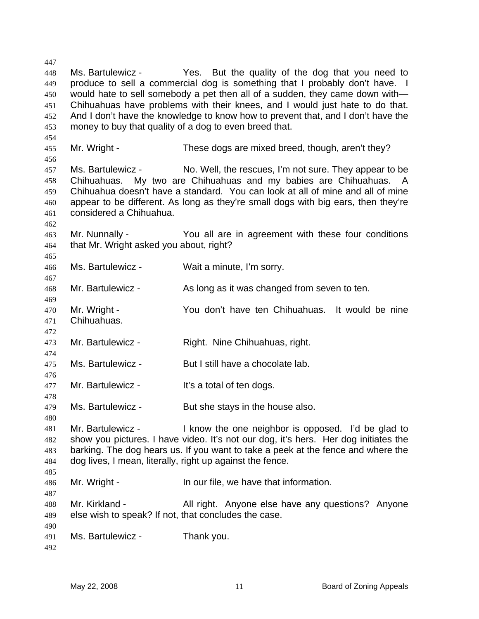447 448 449 450 451 452 453 454 455 456 457 458 459 460 461 462 463 464 465 466 467 468 469 470 471 472 473 474 475 476 477 478 479 480 481 482 483 484 485 486 487 488 489 490 491 492 Ms. Bartulewicz - Yes. But the quality of the dog that you need to produce to sell a commercial dog is something that I probably don't have. I would hate to sell somebody a pet then all of a sudden, they came down with— Chihuahuas have problems with their knees, and I would just hate to do that. And I don't have the knowledge to know how to prevent that, and I don't have the money to buy that quality of a dog to even breed that. Mr. Wright - These dogs are mixed breed, though, aren't they? Ms. Bartulewicz - No. Well, the rescues, I'm not sure. They appear to be Chihuahuas. My two are Chihuahuas and my babies are Chihuahuas. A Chihuahua doesn't have a standard. You can look at all of mine and all of mine appear to be different. As long as they're small dogs with big ears, then they're considered a Chihuahua. Mr. Nunnally - You all are in agreement with these four conditions that Mr. Wright asked you about, right? Ms. Bartulewicz - Wait a minute, I'm sorry. Mr. Bartulewicz - As long as it was changed from seven to ten. Mr. Wright - The You don't have ten Chihuahuas. It would be nine Chihuahuas. Mr. Bartulewicz - Right. Nine Chihuahuas, right. Ms. Bartulewicz - But I still have a chocolate lab. Mr. Bartulewicz - It's a total of ten dogs. Ms. Bartulewicz - But she stays in the house also. Mr. Bartulewicz - I know the one neighbor is opposed. I'd be glad to show you pictures. I have video. It's not our dog, it's hers. Her dog initiates the barking. The dog hears us. If you want to take a peek at the fence and where the dog lives, I mean, literally, right up against the fence. Mr. Wright - In our file, we have that information. Mr. Kirkland - All right. Anyone else have any questions? Anyone else wish to speak? If not, that concludes the case. Ms. Bartulewicz - Thank you.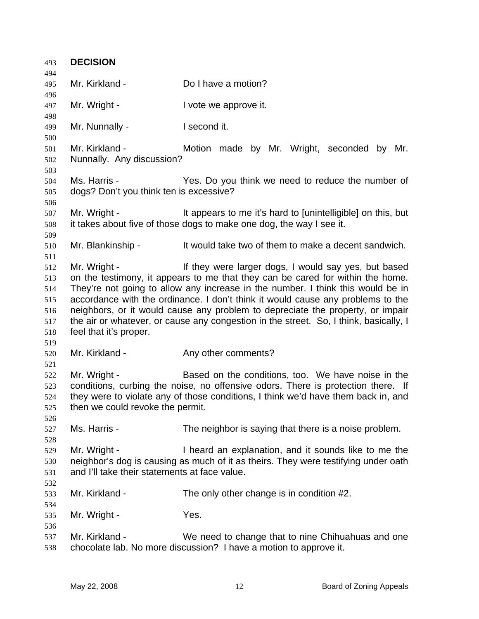| 493        | <b>DECISION</b>                               |                                                                                       |
|------------|-----------------------------------------------|---------------------------------------------------------------------------------------|
| 494        |                                               |                                                                                       |
| 495        | Mr. Kirkland -                                | Do I have a motion?                                                                   |
| 496        |                                               |                                                                                       |
| 497        | Mr. Wright -                                  | I vote we approve it.                                                                 |
| 498        |                                               |                                                                                       |
| 499        | Mr. Nunnally -                                | I second it.                                                                          |
| 500        | Mr. Kirkland -                                |                                                                                       |
| 501        |                                               | Motion made by Mr. Wright, seconded by Mr.                                            |
| 502<br>503 | Nunnally. Any discussion?                     |                                                                                       |
| 504        | Ms. Harris -                                  | Yes. Do you think we need to reduce the number of                                     |
| 505        | dogs? Don't you think ten is excessive?       |                                                                                       |
| 506        |                                               |                                                                                       |
| 507        | Mr. Wright -                                  | It appears to me it's hard to [unintelligible] on this, but                           |
| 508        |                                               | it takes about five of those dogs to make one dog, the way I see it.                  |
| 509        |                                               |                                                                                       |
| 510        | Mr. Blankinship -                             | It would take two of them to make a decent sandwich.                                  |
| 511        |                                               |                                                                                       |
| 512        | Mr. Wright -                                  | If they were larger dogs, I would say yes, but based                                  |
| 513        |                                               | on the testimony, it appears to me that they can be cared for within the home.        |
| 514        |                                               | They're not going to allow any increase in the number. I think this would be in       |
| 515        |                                               | accordance with the ordinance. I don't think it would cause any problems to the       |
| 516        |                                               | neighbors, or it would cause any problem to depreciate the property, or impair        |
| 517        |                                               | the air or whatever, or cause any congestion in the street. So, I think, basically, I |
| 518        | feel that it's proper.                        |                                                                                       |
| 519        |                                               |                                                                                       |
| 520        | Mr. Kirkland -                                | Any other comments?                                                                   |
| 521        |                                               |                                                                                       |
| 522        | Mr. Wright -                                  | Based on the conditions, too. We have noise in the                                    |
| 523        |                                               | conditions, curbing the noise, no offensive odors. There is protection there. If      |
| 524        |                                               | they were to violate any of those conditions, I think we'd have them back in, and     |
| 525        | then we could revoke the permit.              |                                                                                       |
| 526        |                                               |                                                                                       |
| 527        | Ms. Harris -                                  | The neighbor is saying that there is a noise problem.                                 |
| 528        |                                               |                                                                                       |
| 529        | Mr. Wright -                                  | I heard an explanation, and it sounds like to me the                                  |
| 530        |                                               | neighbor's dog is causing as much of it as theirs. They were testifying under oath    |
| 531        | and I'll take their statements at face value. |                                                                                       |
| 532        |                                               |                                                                                       |
| 533        | Mr. Kirkland -                                | The only other change is in condition #2.                                             |
| 534        |                                               |                                                                                       |
| 535        | Mr. Wright -                                  | Yes.                                                                                  |
| 536        |                                               |                                                                                       |
| 537        | Mr. Kirkland -                                | We need to change that to nine Chihuahuas and one                                     |
| 538        |                                               | chocolate lab. No more discussion? I have a motion to approve it.                     |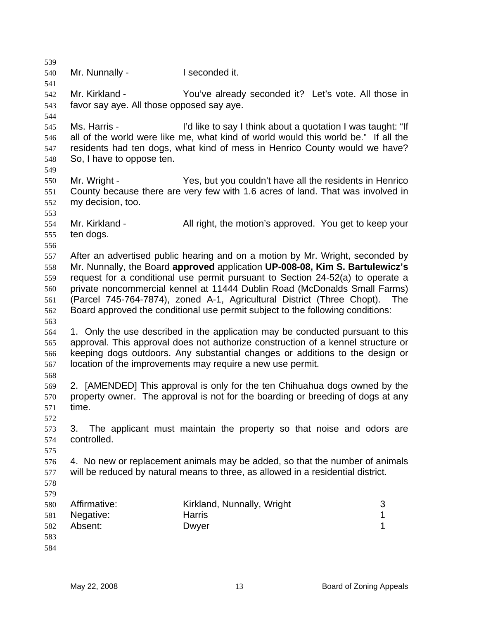539 540 541 542 543 544 545 546 547 548 549 550 551 552 553 554 555 556 557 558 559 560 561 562 563 564 565 566 567 568 569 570 571 572 573 574 575 576 577 578 579 580 581 582 583 584 Mr. Nunnally - **I** seconded it. Mr. Kirkland - The You've already seconded it? Let's vote. All those in favor say aye. All those opposed say aye. Ms. Harris - This is a light of the say I think about a quotation I was taught: "If all of the world were like me, what kind of world would this world be." If all the residents had ten dogs, what kind of mess in Henrico County would we have? So, I have to oppose ten. Mr. Wright - Yes, but you couldn't have all the residents in Henrico County because there are very few with 1.6 acres of land. That was involved in my decision, too. Mr. Kirkland - All right, the motion's approved. You get to keep your ten dogs. After an advertised public hearing and on a motion by Mr. Wright, seconded by Mr. Nunnally, the Board **approved** application **UP-008-08, Kim S. Bartulewicz's** request for a conditional use permit pursuant to Section 24-52(a) to operate a private noncommercial kennel at 11444 Dublin Road (McDonalds Small Farms) (Parcel 745-764-7874), zoned A-1, Agricultural District (Three Chopt). The Board approved the conditional use permit subject to the following conditions: 1. Only the use described in the application may be conducted pursuant to this approval. This approval does not authorize construction of a kennel structure or keeping dogs outdoors. Any substantial changes or additions to the design or location of the improvements may require a new use permit. 2. [AMENDED] This approval is only for the ten Chihuahua dogs owned by the property owner. The approval is not for the boarding or breeding of dogs at any time. 3. The applicant must maintain the property so that noise and odors are controlled. 4. No new or replacement animals may be added, so that the number of animals will be reduced by natural means to three, as allowed in a residential district. Affirmative: Kirkland, Nunnally, Wright 3 Negative: **Harris Harris** 1 Absent: Dwyer 1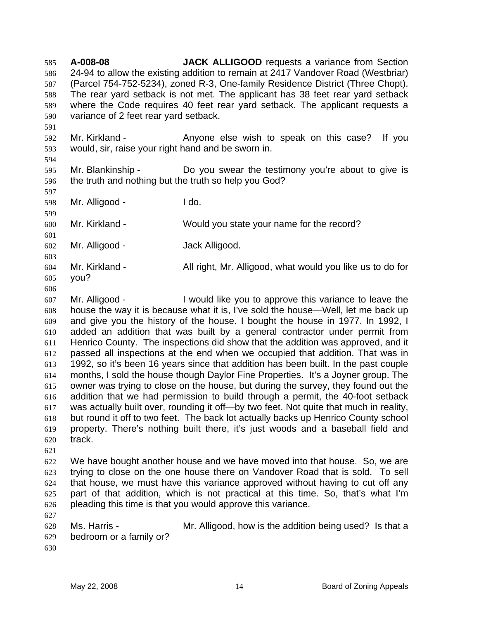**A-008-08 JACK ALLIGOOD** requests a variance from Section 24-94 to allow the existing addition to remain at 2417 Vandover Road (Westbriar) (Parcel 754-752-5234), zoned R-3, One-family Residence District (Three Chopt). The rear yard setback is not met. The applicant has 38 feet rear yard setback where the Code requires 40 feet rear yard setback. The applicant requests a variance of 2 feet rear yard setback. 585 586 587 588 589 590

592 593 Mr. Kirkland - The Anyone else wish to speak on this case? If you would, sir, raise your right hand and be sworn in.

594

591

595 596 Mr. Blankinship - The Do you swear the testimony you're about to give is the truth and nothing but the truth so help you God?

597

601

598 599 Mr. Alligood - I do.

600 Mr. Kirkland - Would you state your name for the record?

602 Mr. Alligood - Jack Alligood.

- 603 604 605 Mr. Kirkland - All right, Mr. Alligood, what would you like us to do for you?
- 606

607 608 609 610 611 612 613 614 615 616 617 618 619 620 Mr. Alligood - **I** would like you to approve this variance to leave the house the way it is because what it is, I've sold the house—Well, let me back up and give you the history of the house. I bought the house in 1977. In 1992, I added an addition that was built by a general contractor under permit from Henrico County. The inspections did show that the addition was approved, and it passed all inspections at the end when we occupied that addition. That was in 1992, so it's been 16 years since that addition has been built. In the past couple months, I sold the house though Daylor Fine Properties. It's a Joyner group. The owner was trying to close on the house, but during the survey, they found out the addition that we had permission to build through a permit, the 40-foot setback was actually built over, rounding it off—by two feet. Not quite that much in reality, but round it off to two feet. The back lot actually backs up Henrico County school property. There's nothing built there, it's just woods and a baseball field and track.

621

627

622 623 624 625 626 We have bought another house and we have moved into that house. So, we are trying to close on the one house there on Vandover Road that is sold. To sell that house, we must have this variance approved without having to cut off any part of that addition, which is not practical at this time. So, that's what I'm pleading this time is that you would approve this variance.

628 629 630 Ms. Harris - Mr. Alligood, how is the addition being used? Is that a bedroom or a family or?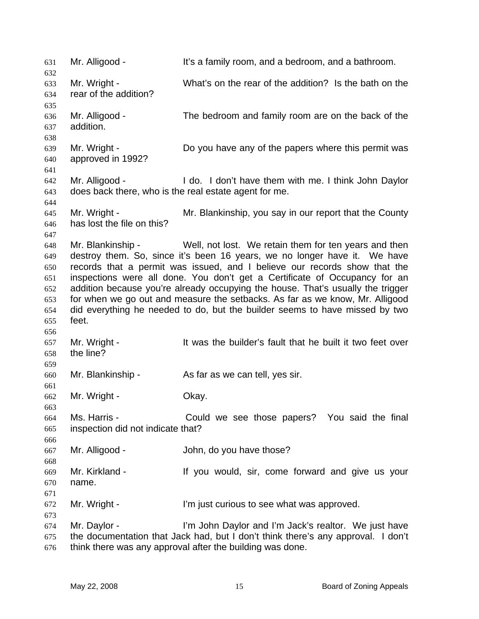631 Mr. Alligood - It's a family room, and a bedroom, and a bathroom. 632 633 634 635 636 637 638 639 640 641 642 643 644 645 646 647 648 649 650 651 652 653 654 655 656 657 658 659 660 661 662 663 664 665 666 667 668 669 670 671 672 673 674 675 676 Mr. Wright - What's on the rear of the addition? Is the bath on the rear of the addition? Mr. Alligood - The bedroom and family room are on the back of the addition. Mr. Wright - Do you have any of the papers where this permit was approved in 1992? Mr. Alligood - I do. I don't have them with me. I think John Daylor does back there, who is the real estate agent for me. Mr. Wright - Mr. Blankinship, you say in our report that the County has lost the file on this? Mr. Blankinship - Well, not lost. We retain them for ten years and then destroy them. So, since it's been 16 years, we no longer have it. We have records that a permit was issued, and I believe our records show that the inspections were all done. You don't get a Certificate of Occupancy for an addition because you're already occupying the house. That's usually the trigger for when we go out and measure the setbacks. As far as we know, Mr. Alligood did everything he needed to do, but the builder seems to have missed by two feet. Mr. Wright - The It was the builder's fault that he built it two feet over the line? Mr. Blankinship - As far as we can tell, yes sir. Mr. Wright - Ckay. Ms. Harris - Could we see those papers? You said the final inspection did not indicate that? Mr. Alligood - John, do you have those? Mr. Kirkland - The Mr ou would, sir, come forward and give us your name. Mr. Wright - I'm just curious to see what was approved. Mr. Daylor - **I'm John Daylor and I'm Jack's realtor.** We just have the documentation that Jack had, but I don't think there's any approval. I don't think there was any approval after the building was done.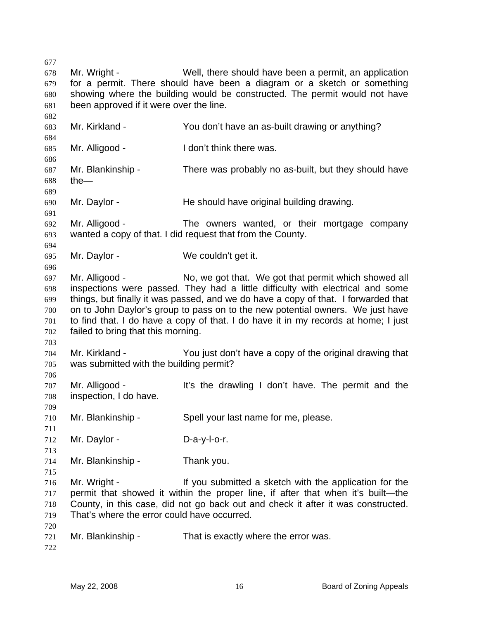677 678 679 680 681 682 683 684 685 686 687 688 689 690 691 692 693 694 695 696 697 698 699 700 701 702 703 704 705 706 707 708 709 710 711 712 713 714 715 716 717 718 719 720 721 722 Mr. Wright - Well, there should have been a permit, an application for a permit. There should have been a diagram or a sketch or something showing where the building would be constructed. The permit would not have been approved if it were over the line. Mr. Kirkland - You don't have an as-built drawing or anything? Mr. Alligood - The I don't think there was. Mr. Blankinship - There was probably no as-built, but they should have the— Mr. Daylor - **He should have original building drawing.** Mr. Alligood - The owners wanted, or their mortgage company wanted a copy of that. I did request that from the County. Mr. Daylor - We couldn't get it. Mr. Alligood - No, we got that. We got that permit which showed all inspections were passed. They had a little difficulty with electrical and some things, but finally it was passed, and we do have a copy of that. I forwarded that on to John Daylor's group to pass on to the new potential owners. We just have to find that. I do have a copy of that. I do have it in my records at home; I just failed to bring that this morning. Mr. Kirkland - You just don't have a copy of the original drawing that was submitted with the building permit? Mr. Alligood - It's the drawling I don't have. The permit and the inspection, I do have. Mr. Blankinship - Spell your last name for me, please. Mr. Daylor - D-a-y-l-o-r. Mr. Blankinship - Thank you. Mr. Wright - The State of the submitted a sketch with the application for the permit that showed it within the proper line, if after that when it's built—the County, in this case, did not go back out and check it after it was constructed. That's where the error could have occurred. Mr. Blankinship - That is exactly where the error was.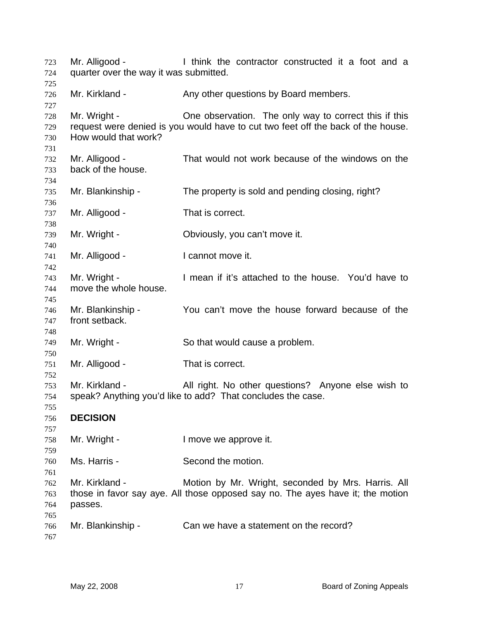| 723<br>724               | Mr. Alligood -<br>quarter over the way it was submitted. | I think the contractor constructed it a foot and a                                                                                        |
|--------------------------|----------------------------------------------------------|-------------------------------------------------------------------------------------------------------------------------------------------|
| 725<br>726<br>727        | Mr. Kirkland -                                           | Any other questions by Board members.                                                                                                     |
| 728<br>729<br>730<br>731 | Mr. Wright -<br>How would that work?                     | One observation. The only way to correct this if this<br>request were denied is you would have to cut two feet off the back of the house. |
| 732<br>733<br>734        | Mr. Alligood -<br>back of the house.                     | That would not work because of the windows on the                                                                                         |
| 735<br>736               | Mr. Blankinship -                                        | The property is sold and pending closing, right?                                                                                          |
| 737<br>738               | Mr. Alligood -                                           | That is correct.                                                                                                                          |
| 739<br>740               | Mr. Wright -                                             | Obviously, you can't move it.                                                                                                             |
| 741<br>742               | Mr. Alligood -                                           | I cannot move it.                                                                                                                         |
| 743<br>744<br>745        | Mr. Wright -<br>move the whole house.                    | I mean if it's attached to the house. You'd have to                                                                                       |
| 746<br>747<br>748        | Mr. Blankinship -<br>front setback.                      | You can't move the house forward because of the                                                                                           |
| 749<br>750               | Mr. Wright -                                             | So that would cause a problem.                                                                                                            |
| 751<br>752               | Mr. Alligood -                                           | That is correct.                                                                                                                          |
| 753<br>754<br>755        | Mr. Kirkland -                                           | All right. No other questions? Anyone else wish to<br>speak? Anything you'd like to add? That concludes the case.                         |
| 756<br>757               | <b>DECISION</b>                                          |                                                                                                                                           |
| 758<br>759               | Mr. Wright -                                             | I move we approve it.                                                                                                                     |
| 760<br>761               | Ms. Harris -                                             | Second the motion.                                                                                                                        |
| 762<br>763<br>764        | Mr. Kirkland -<br>passes.                                | Motion by Mr. Wright, seconded by Mrs. Harris. All<br>those in favor say aye. All those opposed say no. The ayes have it; the motion      |
| 765<br>766<br>767        | Mr. Blankinship -                                        | Can we have a statement on the record?                                                                                                    |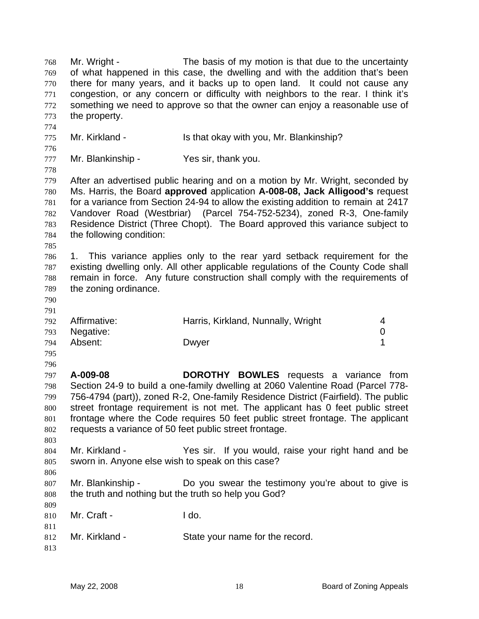Mr. Wright - The basis of my motion is that due to the uncertainty of what happened in this case, the dwelling and with the addition that's been there for many years, and it backs up to open land. It could not cause any congestion, or any concern or difficulty with neighbors to the rear. I think it's something we need to approve so that the owner can enjoy a reasonable use of the property. 768 769 770 771 772 773 774 775 776 777 778 779 780 781 782 783 784 785 786 787 788 789 790 791 792 793 794 795 796 797 798 799 800 801 802 803 804 805 806 807 808 809 810 811 812 813 Mr. Kirkland - Is that okay with you, Mr. Blankinship? Mr. Blankinship - Yes sir, thank you. After an advertised public hearing and on a motion by Mr. Wright, seconded by Ms. Harris, the Board **approved** application **A-008-08, Jack Alligood's** request for a variance from Section 24-94 to allow the existing addition to remain at 2417 Vandover Road (Westbriar) (Parcel 754-752-5234), zoned R-3, One-family Residence District (Three Chopt). The Board approved this variance subject to the following condition: 1. This variance applies only to the rear yard setback requirement for the existing dwelling only. All other applicable regulations of the County Code shall remain in force. Any future construction shall comply with the requirements of the zoning ordinance. Affirmative: **Harris, Kirkland, Nunnally, Wright** 4 Negative: 0 Absent: Dwyer 2008 Download Data New 2008 1 **A-009-08 DOROTHY BOWLES** requests a variance from Section 24-9 to build a one-family dwelling at 2060 Valentine Road (Parcel 778- 756-4794 (part)), zoned R-2, One-family Residence District (Fairfield). The public street frontage requirement is not met. The applicant has 0 feet public street frontage where the Code requires 50 feet public street frontage. The applicant requests a variance of 50 feet public street frontage. Mr. Kirkland - Yes sir. If you would, raise your right hand and be sworn in. Anyone else wish to speak on this case? Mr. Blankinship - The Do you swear the testimony you're about to give is the truth and nothing but the truth so help you God? Mr. Craft - I do. Mr. Kirkland - State your name for the record.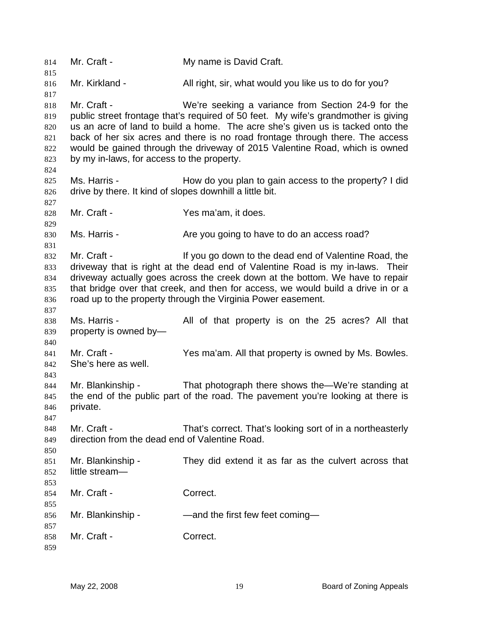814 Mr. Craft - My name is David Craft. 815 816 817 818 819 820 821 822 823 824 825 826 827 828 829 830 831 832 833 834 835 836 837 838 839 840 841 842 843 844 845 846 847 848 849 850 851 852 853 854 855 856 857 858 859 Mr. Kirkland - All right, sir, what would you like us to do for you? Mr. Craft - We're seeking a variance from Section 24-9 for the public street frontage that's required of 50 feet. My wife's grandmother is giving us an acre of land to build a home. The acre she's given us is tacked onto the back of her six acres and there is no road frontage through there. The access would be gained through the driveway of 2015 Valentine Road, which is owned by my in-laws, for access to the property. Ms. Harris - How do you plan to gain access to the property? I did drive by there. It kind of slopes downhill a little bit. Mr. Craft - The Craft - The Yes ma'am, it does. Ms. Harris - The Are you going to have to do an access road? Mr. Craft - The Music of the dead end of Valentine Road, the driveway that is right at the dead end of Valentine Road is my in-laws. Their driveway actually goes across the creek down at the bottom. We have to repair that bridge over that creek, and then for access, we would build a drive in or a road up to the property through the Virginia Power easement. Ms. Harris - The All of that property is on the 25 acres? All that property is owned by— Mr. Craft - Yes ma'am. All that property is owned by Ms. Bowles. She's here as well. Mr. Blankinship - That photograph there shows the—We're standing at the end of the public part of the road. The pavement you're looking at there is private. Mr. Craft - That's correct. That's looking sort of in a northeasterly direction from the dead end of Valentine Road. Mr. Blankinship - They did extend it as far as the culvert across that little stream— Mr. Craft - Correct. Mr. Blankinship - — — — and the first few feet coming— Mr. Craft - Correct.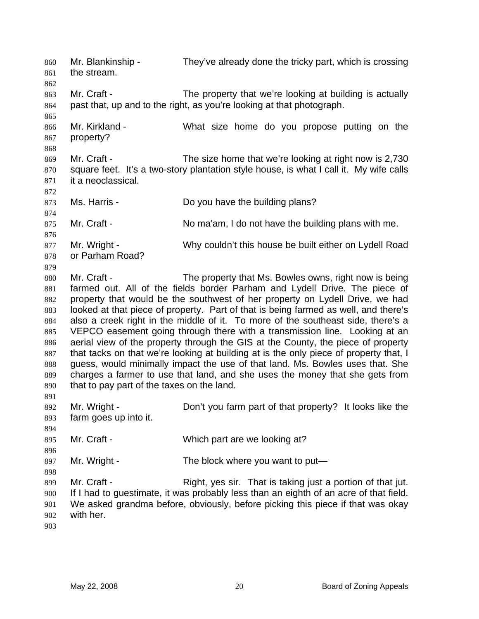Mr. Blankinship - They've already done the tricky part, which is crossing the stream. 860 861 862 863 864 865 866 867 868 869 870 871 872 873 874 875 876 877 878 879 880 881 882 883 884 885 886 887 888 889 890 891 892 893 894 895 896 897 898 899 900 901 902 903 Mr. Craft - The property that we're looking at building is actually past that, up and to the right, as you're looking at that photograph. Mr. Kirkland - What size home do you propose putting on the property? Mr. Craft - The size home that we're looking at right now is 2,730 square feet. It's a two-story plantation style house, is what I call it. My wife calls it a neoclassical. Ms. Harris - **Do you have the building plans?** Mr. Craft - No ma'am, I do not have the building plans with me. Mr. Wright - Why couldn't this house be built either on Lydell Road or Parham Road? Mr. Craft - The property that Ms. Bowles owns, right now is being farmed out. All of the fields border Parham and Lydell Drive. The piece of property that would be the southwest of her property on Lydell Drive, we had looked at that piece of property. Part of that is being farmed as well, and there's also a creek right in the middle of it. To more of the southeast side, there's a VEPCO easement going through there with a transmission line. Looking at an aerial view of the property through the GIS at the County, the piece of property that tacks on that we're looking at building at is the only piece of property that, I guess, would minimally impact the use of that land. Ms. Bowles uses that. She charges a farmer to use that land, and she uses the money that she gets from that to pay part of the taxes on the land. Mr. Wright - Don't you farm part of that property? It looks like the farm goes up into it. Mr. Craft - Which part are we looking at? Mr. Wright - The block where you want to put— Mr. Craft - Right, yes sir. That is taking just a portion of that jut. If I had to guestimate, it was probably less than an eighth of an acre of that field. We asked grandma before, obviously, before picking this piece if that was okay with her.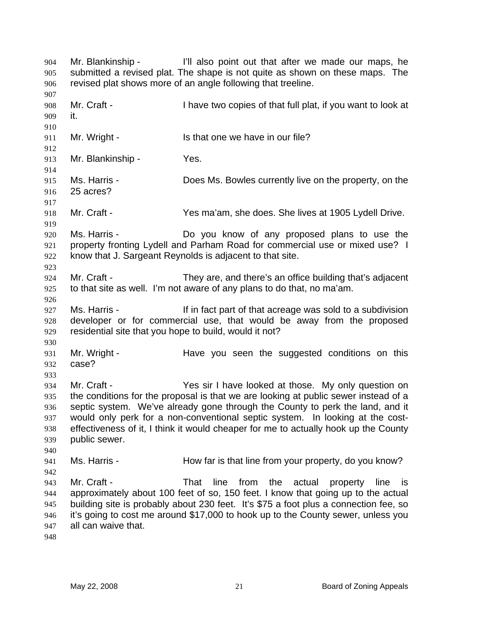Mr. Blankinship - I'll also point out that after we made our maps, he submitted a revised plat. The shape is not quite as shown on these maps. The revised plat shows more of an angle following that treeline. 904 905 906 907 908 909 910 911 912 913 914 915 916 917 918 919 920 921 922 923 924 925 926 927 928 929 930 931 932 933 934 935 936 937 938 939 940 941 942 943 944 945 946 947 948 Mr. Craft - I have two copies of that full plat, if you want to look at it. Mr. Wright - Is that one we have in our file? Mr. Blankinship - Yes. Ms. Harris - Does Ms. Bowles currently live on the property, on the 25 acres? Mr. Craft - Yes ma'am, she does. She lives at 1905 Lydell Drive. Ms. Harris - The Motor Collection Controller and Motor Motor Collection Collection Collection Collection Collection Collection Collection Collection Collection Collection Collection Collection Collection Collection Collect property fronting Lydell and Parham Road for commercial use or mixed use? I know that J. Sargeant Reynolds is adjacent to that site. Mr. Craft - They are, and there's an office building that's adjacent to that site as well. I'm not aware of any plans to do that, no ma'am. Ms. Harris - The Music of that acreage was sold to a subdivision developer or for commercial use, that would be away from the proposed residential site that you hope to build, would it not? Mr. Wright - The Have you seen the suggested conditions on this case? Mr. Craft - Yes sir I have looked at those. My only question on the conditions for the proposal is that we are looking at public sewer instead of a septic system. We've already gone through the County to perk the land, and it would only perk for a non-conventional septic system. In looking at the costeffectiveness of it, I think it would cheaper for me to actually hook up the County public sewer. Ms. Harris - How far is that line from your property, do you know? Mr. Craft - That line from the actual property line is approximately about 100 feet of so, 150 feet. I know that going up to the actual building site is probably about 230 feet. It's \$75 a foot plus a connection fee, so it's going to cost me around \$17,000 to hook up to the County sewer, unless you all can waive that.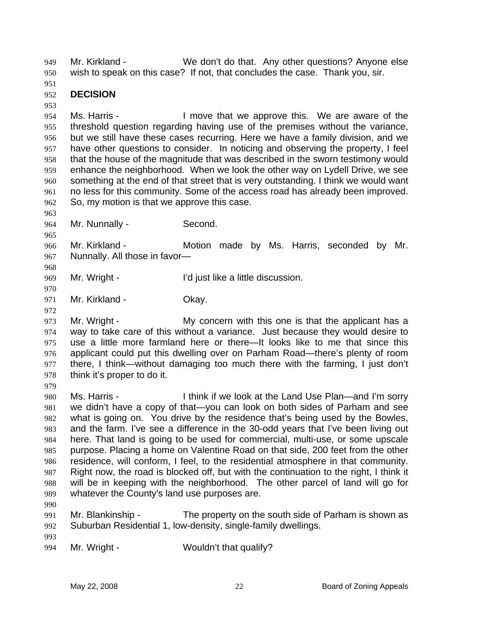Mr. Kirkland - We don't do that. Any other questions? Anyone else wish to speak on this case? If not, that concludes the case. Thank you, sir. 949 950

951

## 952 **DECISION**

953

954 955 956 957 958 959 960 961 962 Ms. Harris - The Move that we approve this. We are aware of the threshold question regarding having use of the premises without the variance, but we still have these cases recurring. Here we have a family division, and we have other questions to consider. In noticing and observing the property, I feel that the house of the magnitude that was described in the sworn testimony would enhance the neighborhood. When we look the other way on Lydell Drive, we see something at the end of that street that is very outstanding. I think we would want no less for this community. Some of the access road has already been improved. So, my motion is that we approve this case.

963

965

968

970

964 Mr. Nunnally - Second.

966 967 Mr. Kirkland - The Motion made by Ms. Harris, seconded by Mr. Nunnally. All those in favor—

969 Mr. Wright - The Tell is a little discussion.

971 Mr. Kirkland - **Okay.** 

972

979

973 974 975 976 977 978 Mr. Wright - My concern with this one is that the applicant has a way to take care of this without a variance. Just because they would desire to use a little more farmland here or there—It looks like to me that since this applicant could put this dwelling over on Parham Road—there's plenty of room there, I think—without damaging too much there with the farming, I just don't think it's proper to do it.

980 981 982 983 984 985 986 987 988 989 Ms. Harris - I think if we look at the Land Use Plan—and I'm sorry we didn't have a copy of that—you can look on both sides of Parham and see what is going on. You drive by the residence that's being used by the Bowles, and the farm. I've see a difference in the 30-odd years that I've been living out here. That land is going to be used for commercial, multi-use, or some upscale purpose. Placing a home on Valentine Road on that side, 200 feet from the other residence, will conform, I feel, to the residential atmosphere in that community. Right now, the road is blocked off, but with the continuation to the right, I think it will be in keeping with the neighborhood. The other parcel of land will go for whatever the County's land use purposes are.

990

991 992 Mr. Blankinship - The property on the south side of Parham is shown as Suburban Residential 1, low-density, single-family dwellings.

993

994 Mr. Wright - Wouldn't that qualify?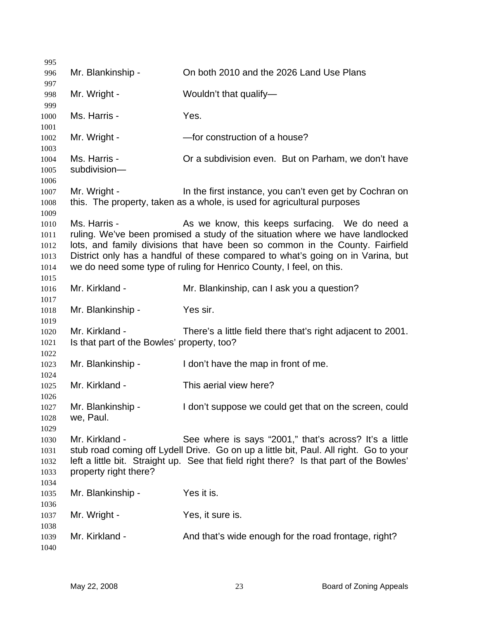| 995                                          |                                                              |                                                                                                                                                                                                                                                                                                                                                                           |
|----------------------------------------------|--------------------------------------------------------------|---------------------------------------------------------------------------------------------------------------------------------------------------------------------------------------------------------------------------------------------------------------------------------------------------------------------------------------------------------------------------|
| 996<br>997                                   | Mr. Blankinship -                                            | On both 2010 and the 2026 Land Use Plans                                                                                                                                                                                                                                                                                                                                  |
| 998<br>999                                   | Mr. Wright -                                                 | Wouldn't that qualify-                                                                                                                                                                                                                                                                                                                                                    |
| 1000<br>1001                                 | Ms. Harris -                                                 | Yes.                                                                                                                                                                                                                                                                                                                                                                      |
| 1002<br>1003                                 | Mr. Wright -                                                 | -for construction of a house?                                                                                                                                                                                                                                                                                                                                             |
| 1004<br>1005<br>1006                         | Ms. Harris -<br>subdivision-                                 | Or a subdivision even. But on Parham, we don't have                                                                                                                                                                                                                                                                                                                       |
| 1007<br>1008                                 | Mr. Wright -                                                 | In the first instance, you can't even get by Cochran on<br>this. The property, taken as a whole, is used for agricultural purposes                                                                                                                                                                                                                                        |
| 1009<br>1010<br>1011<br>1012<br>1013<br>1014 | Ms. Harris -                                                 | As we know, this keeps surfacing. We do need a<br>ruling. We've been promised a study of the situation where we have landlocked<br>lots, and family divisions that have been so common in the County. Fairfield<br>District only has a handful of these compared to what's going on in Varina, but<br>we do need some type of ruling for Henrico County, I feel, on this. |
| 1015<br>1016                                 | Mr. Kirkland -                                               | Mr. Blankinship, can I ask you a question?                                                                                                                                                                                                                                                                                                                                |
| 1017<br>1018<br>1019                         | Mr. Blankinship -                                            | Yes sir.                                                                                                                                                                                                                                                                                                                                                                  |
| 1020<br>1021                                 | Mr. Kirkland -<br>Is that part of the Bowles' property, too? | There's a little field there that's right adjacent to 2001.                                                                                                                                                                                                                                                                                                               |
| 1022<br>1023<br>1024                         | Mr. Blankinship -                                            | I don't have the map in front of me.                                                                                                                                                                                                                                                                                                                                      |
| 1025<br>1026                                 | Mr. Kirkland -                                               | This aerial view here?                                                                                                                                                                                                                                                                                                                                                    |
| 1027<br>1028<br>1029                         | Mr. Blankinship -<br>we, Paul.                               | I don't suppose we could get that on the screen, could                                                                                                                                                                                                                                                                                                                    |
| 1030<br>1031<br>1032<br>1033<br>1034         | Mr. Kirkland -<br>property right there?                      | See where is says "2001," that's across? It's a little<br>stub road coming off Lydell Drive. Go on up a little bit, Paul. All right. Go to your<br>left a little bit. Straight up. See that field right there? Is that part of the Bowles'                                                                                                                                |
| 1035                                         | Mr. Blankinship -                                            | Yes it is.                                                                                                                                                                                                                                                                                                                                                                |
| 1036<br>1037                                 | Mr. Wright -                                                 | Yes, it sure is.                                                                                                                                                                                                                                                                                                                                                          |
| 1038<br>1039<br>1040                         | Mr. Kirkland -                                               | And that's wide enough for the road frontage, right?                                                                                                                                                                                                                                                                                                                      |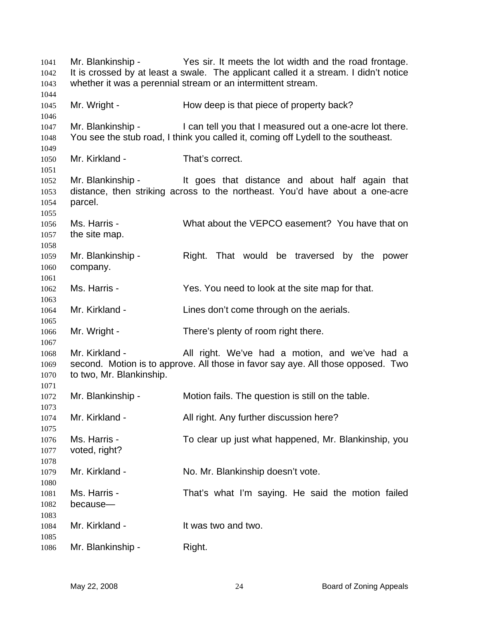Mr. Blankinship - Yes sir. It meets the lot width and the road frontage. It is crossed by at least a swale. The applicant called it a stream. I didn't notice whether it was a perennial stream or an intermittent stream. Mr. Wright - The How deep is that piece of property back? Mr. Blankinship - I can tell you that I measured out a one-acre lot there. You see the stub road, I think you called it, coming off Lydell to the southeast. Mr. Kirkland - That's correct. Mr. Blankinship - It goes that distance and about half again that distance, then striking across to the northeast. You'd have about a one-acre parcel. Ms. Harris - What about the VEPCO easement? You have that on the site map. Mr. Blankinship - That would be traversed by the power company. Ms. Harris - Yes. You need to look at the site map for that. Mr. Kirkland - Lines don't come through on the aerials. Mr. Wright - There's plenty of room right there. Mr. Kirkland - All right. We've had a motion, and we've had a second. Motion is to approve. All those in favor say aye. All those opposed. Two to two, Mr. Blankinship. Mr. Blankinship - Motion fails. The question is still on the table. Mr. Kirkland - All right. Any further discussion here? Ms. Harris - To clear up just what happened, Mr. Blankinship, you voted, right? Mr. Kirkland - No. Mr. Blankinship doesn't vote. Ms. Harris - That's what I'm saying. He said the motion failed because— Mr. Kirkland - The Muslim Controller Muslim Mr. Kirkland - The Muslim Internal Internal Internal Internal Internal Internal Internal Internal Internal Internal Internal Internal Internal Internal Internal Internal Internal Mr. Blankinship - Right.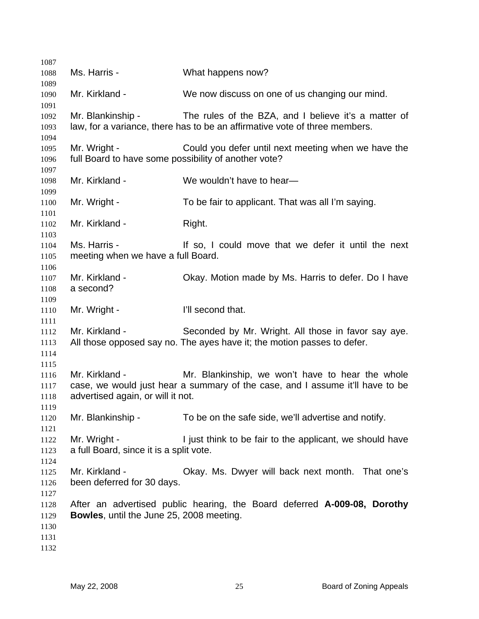| 1087                                 |                                                                      |                                                                                                                                    |
|--------------------------------------|----------------------------------------------------------------------|------------------------------------------------------------------------------------------------------------------------------------|
| 1088                                 | Ms. Harris -                                                         | What happens now?                                                                                                                  |
| 1089<br>1090<br>1091                 | Mr. Kirkland -                                                       | We now discuss on one of us changing our mind.                                                                                     |
| 1092<br>1093                         | Mr. Blankinship -                                                    | The rules of the BZA, and I believe it's a matter of<br>law, for a variance, there has to be an affirmative vote of three members. |
| 1094                                 |                                                                      |                                                                                                                                    |
| 1095<br>1096<br>1097                 | Mr. Wright -<br>full Board to have some possibility of another vote? | Could you defer until next meeting when we have the                                                                                |
| 1098<br>1099                         | Mr. Kirkland -                                                       | We wouldn't have to hear-                                                                                                          |
| 1100<br>1101                         | Mr. Wright -                                                         | To be fair to applicant. That was all I'm saying.                                                                                  |
| 1102<br>1103                         | Mr. Kirkland -                                                       | Right.                                                                                                                             |
| 1104<br>1105                         | Ms. Harris -<br>meeting when we have a full Board.                   | If so, I could move that we defer it until the next                                                                                |
| 1106<br>1107<br>1108                 | Mr. Kirkland -<br>a second?                                          | Okay. Motion made by Ms. Harris to defer. Do I have                                                                                |
| 1109<br>1110<br>1111                 | Mr. Wright -                                                         | I'll second that.                                                                                                                  |
| 1112<br>1113<br>1114                 | Mr. Kirkland -                                                       | Seconded by Mr. Wright. All those in favor say aye.<br>All those opposed say no. The ayes have it; the motion passes to defer.     |
| 1115<br>1116<br>1117<br>1118<br>1119 | Mr. Kirkland -<br>advertised again, or will it not.                  | Mr. Blankinship, we won't have to hear the whole<br>case, we would just hear a summary of the case, and I assume it'll have to be  |
| 1120<br>1121                         | Mr. Blankinship -                                                    | To be on the safe side, we'll advertise and notify.                                                                                |
| 1122<br>1123<br>1124                 | Mr. Wright -<br>a full Board, since it is a split vote.              | I just think to be fair to the applicant, we should have                                                                           |
| 1125<br>1126<br>1127                 | Mr. Kirkland -<br>been deferred for 30 days.                         | Okay. Ms. Dwyer will back next month. That one's                                                                                   |
| 1128<br>1129<br>1130<br>1131<br>1132 | <b>Bowles, until the June 25, 2008 meeting.</b>                      | After an advertised public hearing, the Board deferred A-009-08, Dorothy                                                           |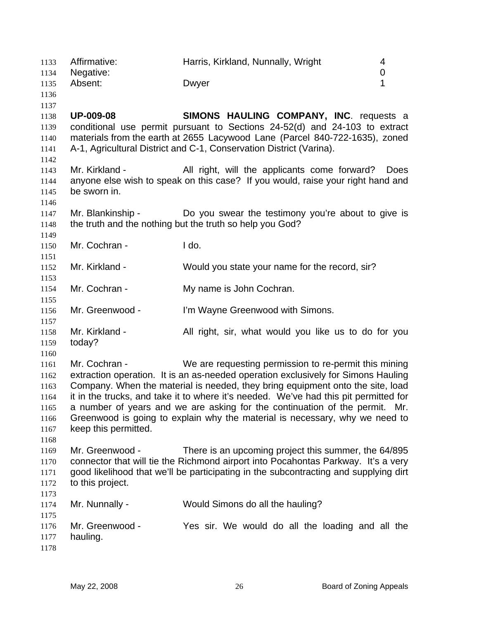| 1133<br>1134 | Affirmative:<br>Negative: | Harris, Kirkland, Nunnally, Wright                                                   | 4<br>0      |
|--------------|---------------------------|--------------------------------------------------------------------------------------|-------------|
| 1135         | Absent:                   | Dwyer                                                                                | 1           |
| 1136         |                           |                                                                                      |             |
| 1137         |                           |                                                                                      |             |
| 1138         | <b>UP-009-08</b>          | <b>SIMONS HAULING COMPANY, INC. requests a</b>                                       |             |
| 1139         |                           | conditional use permit pursuant to Sections 24-52(d) and 24-103 to extract           |             |
| 1140         |                           | materials from the earth at 2655 Lacywood Lane (Parcel 840-722-1635), zoned          |             |
| 1141         |                           | A-1, Agricultural District and C-1, Conservation District (Varina).                  |             |
| 1142         |                           |                                                                                      |             |
| 1143         | Mr. Kirkland -            | All right, will the applicants come forward?                                         | <b>Does</b> |
| 1144         |                           | anyone else wish to speak on this case? If you would, raise your right hand and      |             |
| 1145         | be sworn in.              |                                                                                      |             |
| 1146         |                           |                                                                                      |             |
| 1147         | Mr. Blankinship -         | Do you swear the testimony you're about to give is                                   |             |
| 1148         |                           | the truth and the nothing but the truth so help you God?                             |             |
| 1149         |                           |                                                                                      |             |
| 1150         | Mr. Cochran -             | I do.                                                                                |             |
| 1151         |                           |                                                                                      |             |
| 1152         | Mr. Kirkland -            | Would you state your name for the record, sir?                                       |             |
| 1153         |                           |                                                                                      |             |
| 1154         | Mr. Cochran -             | My name is John Cochran.                                                             |             |
| 1155         |                           |                                                                                      |             |
| 1156         | Mr. Greenwood -           | I'm Wayne Greenwood with Simons.                                                     |             |
| 1157         |                           |                                                                                      |             |
| 1158<br>1159 | Mr. Kirkland -<br>today?  | All right, sir, what would you like us to do for you                                 |             |
| 1160         |                           |                                                                                      |             |
| 1161         | Mr. Cochran -             | We are requesting permission to re-permit this mining                                |             |
| 1162         |                           | extraction operation. It is an as-needed operation exclusively for Simons Hauling    |             |
| 1163         |                           | Company. When the material is needed, they bring equipment onto the site, load       |             |
| 1164         |                           | it in the trucks, and take it to where it's needed. We've had this pit permitted for |             |
| 1165         |                           | a number of years and we are asking for the continuation of the permit. Mr.          |             |
| 1166         |                           | Greenwood is going to explain why the material is necessary, why we need to          |             |
| 1167         | keep this permitted.      |                                                                                      |             |
| 1168         |                           |                                                                                      |             |
| 1169         | Mr. Greenwood -           | There is an upcoming project this summer, the 64/895                                 |             |
| 1170         |                           | connector that will tie the Richmond airport into Pocahontas Parkway. It's a very    |             |
| 1171         |                           | good likelihood that we'll be participating in the subcontracting and supplying dirt |             |
| 1172         | to this project.          |                                                                                      |             |
| 1173         |                           |                                                                                      |             |
| 1174         | Mr. Nunnally -            | Would Simons do all the hauling?                                                     |             |
| 1175         |                           |                                                                                      |             |
| 1176         | Mr. Greenwood -           | Yes sir. We would do all the loading and all the                                     |             |
| 1177         | hauling.                  |                                                                                      |             |
| 1178         |                           |                                                                                      |             |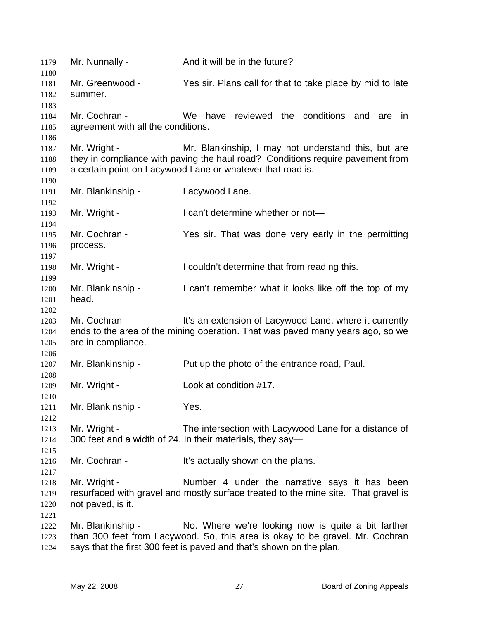1179 Mr. Nunnally - And it will be in the future? 1180 1181 1182 1183 1184 1185 1186 1187 1188 1189 1190 1191 1192 1193 1194 1195 1196 1197 1198 1199 1200 1201 1202 1203 1204 1205 1206 1207 1208 1209 1210 1211 1212 1213 1214 1215 1216 1217 1218 1219 1220 1221 1222 1223 1224 Mr. Greenwood - Yes sir. Plans call for that to take place by mid to late summer. Mr. Cochran - We have reviewed the conditions and are in agreement with all the conditions. Mr. Wright - Mr. Blankinship, I may not understand this, but are they in compliance with paving the haul road? Conditions require pavement from a certain point on Lacywood Lane or whatever that road is. Mr. Blankinship - Lacywood Lane. Mr. Wright - I can't determine whether or not— Mr. Cochran - The Yes sir. That was done very early in the permitting process. Mr. Wright - I couldn't determine that from reading this. Mr. Blankinship - I can't remember what it looks like off the top of my head. Mr. Cochran - It's an extension of Lacywood Lane, where it currently ends to the area of the mining operation. That was paved many years ago, so we are in compliance. Mr. Blankinship - Put up the photo of the entrance road, Paul. Mr. Wright - Look at condition #17. Mr. Blankinship - Yes. Mr. Wright - The intersection with Lacywood Lane for a distance of 300 feet and a width of 24. In their materials, they say— Mr. Cochran - It's actually shown on the plans. Mr. Wright - The Sumber 4 under the narrative says it has been resurfaced with gravel and mostly surface treated to the mine site. That gravel is not paved, is it. Mr. Blankinship - No. Where we're looking now is quite a bit farther than 300 feet from Lacywood. So, this area is okay to be gravel. Mr. Cochran says that the first 300 feet is paved and that's shown on the plan.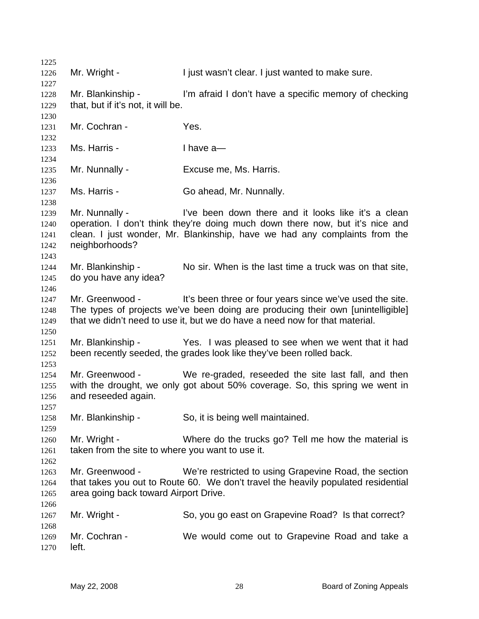| 1225         |                                                  |                                                                                                                                      |
|--------------|--------------------------------------------------|--------------------------------------------------------------------------------------------------------------------------------------|
| 1226         | Mr. Wright -                                     | I just wasn't clear. I just wanted to make sure.                                                                                     |
| 1227<br>1228 | Mr. Blankinship -                                | I'm afraid I don't have a specific memory of checking                                                                                |
| 1229         | that, but if it's not, it will be.               |                                                                                                                                      |
| 1230         |                                                  |                                                                                                                                      |
| 1231         | Mr. Cochran -                                    | Yes.                                                                                                                                 |
| 1232         |                                                  |                                                                                                                                      |
| 1233<br>1234 | Ms. Harris -                                     | I have $a$ -                                                                                                                         |
| 1235         | Mr. Nunnally -                                   | Excuse me, Ms. Harris.                                                                                                               |
| 1236<br>1237 | Ms. Harris -                                     | Go ahead, Mr. Nunnally.                                                                                                              |
| 1238         |                                                  |                                                                                                                                      |
| 1239<br>1240 | Mr. Nunnally -                                   | I've been down there and it looks like it's a clean<br>operation. I don't think they're doing much down there now, but it's nice and |
| 1241         |                                                  | clean. I just wonder, Mr. Blankinship, have we had any complaints from the                                                           |
| 1242         | neighborhoods?                                   |                                                                                                                                      |
| 1243         |                                                  |                                                                                                                                      |
| 1244         | Mr. Blankinship -<br>do you have any idea?       | No sir. When is the last time a truck was on that site,                                                                              |
| 1245<br>1246 |                                                  |                                                                                                                                      |
| 1247         | Mr. Greenwood -                                  | It's been three or four years since we've used the site.                                                                             |
| 1248         |                                                  | The types of projects we've been doing are producing their own [unintelligible]                                                      |
| 1249         |                                                  | that we didn't need to use it, but we do have a need now for that material.                                                          |
| 1250         |                                                  |                                                                                                                                      |
| 1251         |                                                  | Mr. Blankinship - Yes. I was pleased to see when we went that it had                                                                 |
| 1252<br>1253 |                                                  | been recently seeded, the grades look like they've been rolled back.                                                                 |
| 1254         | Mr. Greenwood -                                  | We re-graded, reseeded the site last fall, and then                                                                                  |
| 1255         |                                                  | with the drought, we only got about 50% coverage. So, this spring we went in                                                         |
| 1256         | and reseeded again.                              |                                                                                                                                      |
| 1257         |                                                  |                                                                                                                                      |
| 1258         | Mr. Blankinship -                                | So, it is being well maintained.                                                                                                     |
| 1259         |                                                  |                                                                                                                                      |
| 1260         | Mr. Wright -                                     | Where do the trucks go? Tell me how the material is                                                                                  |
| 1261         | taken from the site to where you want to use it. |                                                                                                                                      |
| 1262         |                                                  |                                                                                                                                      |
| 1263         | Mr. Greenwood -                                  | We're restricted to using Grapevine Road, the section                                                                                |
| 1264         |                                                  | that takes you out to Route 60. We don't travel the heavily populated residential                                                    |
| 1265         | area going back toward Airport Drive.            |                                                                                                                                      |
| 1266         |                                                  |                                                                                                                                      |
| 1267         | Mr. Wright -                                     | So, you go east on Grapevine Road? Is that correct?                                                                                  |
| 1268         |                                                  |                                                                                                                                      |
| 1269         | Mr. Cochran -                                    | We would come out to Grapevine Road and take a                                                                                       |
| 1270         | left.                                            |                                                                                                                                      |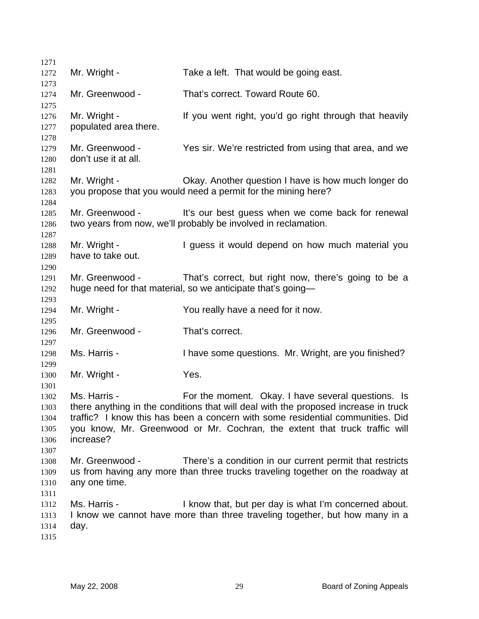| 1271                                                 |                                         |                                                                                                                                                                                                                                                                                                           |
|------------------------------------------------------|-----------------------------------------|-----------------------------------------------------------------------------------------------------------------------------------------------------------------------------------------------------------------------------------------------------------------------------------------------------------|
| 1272                                                 | Mr. Wright -                            | Take a left. That would be going east.                                                                                                                                                                                                                                                                    |
| 1273                                                 |                                         |                                                                                                                                                                                                                                                                                                           |
| 1274                                                 | Mr. Greenwood -                         | That's correct. Toward Route 60.                                                                                                                                                                                                                                                                          |
| 1275<br>1276<br>1277                                 | Mr. Wright -<br>populated area there.   | If you went right, you'd go right through that heavily                                                                                                                                                                                                                                                    |
| 1278                                                 |                                         |                                                                                                                                                                                                                                                                                                           |
| 1279<br>1280                                         | Mr. Greenwood -<br>don't use it at all. | Yes sir. We're restricted from using that area, and we                                                                                                                                                                                                                                                    |
| 1281<br>1282<br>1283                                 | Mr. Wright -                            | Okay. Another question I have is how much longer do<br>you propose that you would need a permit for the mining here?                                                                                                                                                                                      |
| 1284<br>1285<br>1286                                 | Mr. Greenwood -                         | It's our best guess when we come back for renewal<br>two years from now, we'll probably be involved in reclamation.                                                                                                                                                                                       |
| 1287<br>1288<br>1289                                 | Mr. Wright -<br>have to take out.       | I guess it would depend on how much material you                                                                                                                                                                                                                                                          |
| 1290<br>1291<br>1292                                 | Mr. Greenwood -                         | That's correct, but right now, there's going to be a<br>huge need for that material, so we anticipate that's going-                                                                                                                                                                                       |
| 1293<br>1294                                         | Mr. Wright -                            | You really have a need for it now.                                                                                                                                                                                                                                                                        |
| 1295<br>1296                                         | Mr. Greenwood -                         | That's correct.                                                                                                                                                                                                                                                                                           |
| 1297<br>1298                                         | Ms. Harris -                            | I have some questions. Mr. Wright, are you finished?                                                                                                                                                                                                                                                      |
| 1299<br>1300                                         | Mr. Wright -                            | Yes.                                                                                                                                                                                                                                                                                                      |
| 1301<br>1302<br>1303<br>1304<br>1305<br>1306<br>1307 | Ms. Harris -<br>increase?               | For the moment. Okay. I have several questions. Is<br>there anything in the conditions that will deal with the proposed increase in truck<br>traffic? I know this has been a concern with some residential communities. Did<br>you know, Mr. Greenwood or Mr. Cochran, the extent that truck traffic will |
| 1308<br>1309<br>1310                                 | Mr. Greenwood -<br>any one time.        | There's a condition in our current permit that restricts<br>us from having any more than three trucks traveling together on the roadway at                                                                                                                                                                |
| 1311<br>1312<br>1313<br>1314<br>1315                 | Ms. Harris -<br>day.                    | I know that, but per day is what I'm concerned about.<br>I know we cannot have more than three traveling together, but how many in a                                                                                                                                                                      |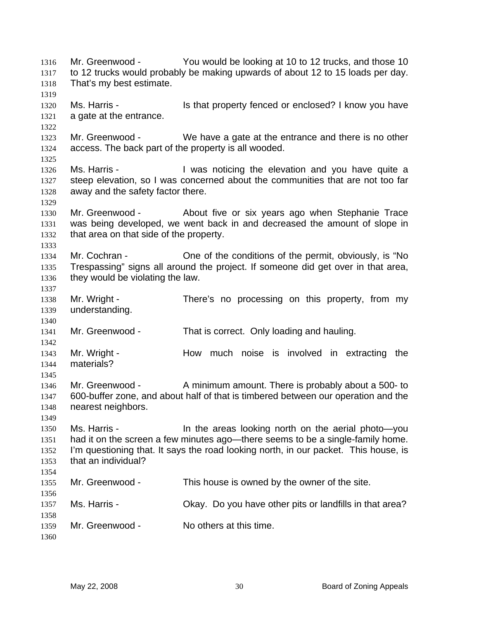Mr. Greenwood - You would be looking at 10 to 12 trucks, and those 10 to 12 trucks would probably be making upwards of about 12 to 15 loads per day. That's my best estimate. 1316 1317 1318 1319 1320 1321 1322 1323 1324 1325 1326 1327 1328 1329 1330 1331 1332 1333 1334 1335 1336 1337 1338 1339 1340 1341 1342 1343 1344 1345 1346 1347 1348 1349 1350 1351 1352 1353 1354 1355 1356 1357 1358 1359 1360 Ms. Harris - The Music of that property fenced or enclosed? I know you have a gate at the entrance. Mr. Greenwood - We have a gate at the entrance and there is no other access. The back part of the property is all wooded. Ms. Harris - The Mas noticing the elevation and you have quite a steep elevation, so I was concerned about the communities that are not too far away and the safety factor there. Mr. Greenwood - About five or six years ago when Stephanie Trace was being developed, we went back in and decreased the amount of slope in that area on that side of the property. Mr. Cochran - Cone of the conditions of the permit, obviously, is "No Trespassing" signs all around the project. If someone did get over in that area, they would be violating the law. Mr. Wright - There's no processing on this property, from my understanding. Mr. Greenwood - That is correct. Only loading and hauling. Mr. Wright - How much noise is involved in extracting the materials? Mr. Greenwood - A minimum amount. There is probably about a 500- to 600-buffer zone, and about half of that is timbered between our operation and the nearest neighbors. Ms. Harris - In the areas looking north on the aerial photo—you had it on the screen a few minutes ago—there seems to be a single-family home. I'm questioning that. It says the road looking north, in our packet. This house, is that an individual? Mr. Greenwood - This house is owned by the owner of the site. Ms. Harris - Chay. Do you have other pits or landfills in that area? Mr. Greenwood - No others at this time.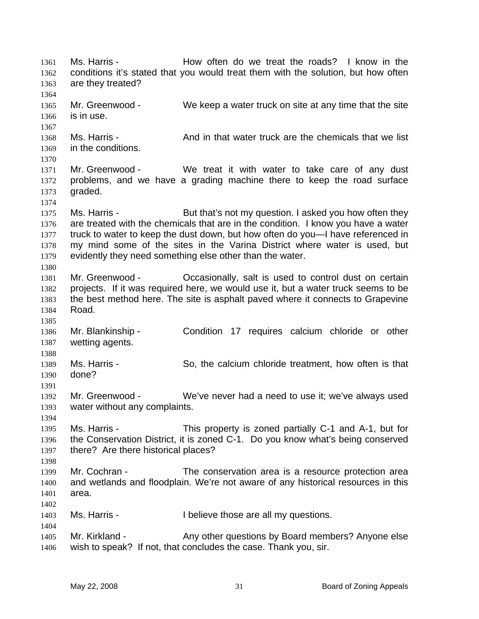Ms. Harris - How often do we treat the roads? I know in the conditions it's stated that you would treat them with the solution, but how often are they treated? 1361 1362 1363 1364 1365 1366 1367 1368 1369 1370 1371 1372 1373 1374 1375 1376 1377 1378 1379 1380 1381 1382 1383 1384 1385 1386 1387 1388 1389 1390 1391 1392 1393 1394 1395 1396 1397 1398 1399 1400 1401 1402 1403 1404 1405 1406 Mr. Greenwood - We keep a water truck on site at any time that the site is in use. Ms. Harris - And in that water truck are the chemicals that we list in the conditions. Mr. Greenwood - We treat it with water to take care of any dust problems, and we have a grading machine there to keep the road surface graded. Ms. Harris - **But that's not my question.** I asked you how often they are treated with the chemicals that are in the condition. I know you have a water truck to water to keep the dust down, but how often do you—I have referenced in my mind some of the sites in the Varina District where water is used, but evidently they need something else other than the water. Mr. Greenwood - Occasionally, salt is used to control dust on certain projects. If it was required here, we would use it, but a water truck seems to be the best method here. The site is asphalt paved where it connects to Grapevine Road. Mr. Blankinship - Condition 17 requires calcium chloride or other wetting agents. Ms. Harris - So, the calcium chloride treatment, how often is that done? Mr. Greenwood - We've never had a need to use it; we've always used water without any complaints. Ms. Harris - This property is zoned partially C-1 and A-1, but for the Conservation District, it is zoned C-1. Do you know what's being conserved there? Are there historical places? Mr. Cochran - The conservation area is a resource protection area and wetlands and floodplain. We're not aware of any historical resources in this area. Ms. Harris - The I believe those are all my questions. Mr. Kirkland - Any other questions by Board members? Anyone else wish to speak? If not, that concludes the case. Thank you, sir.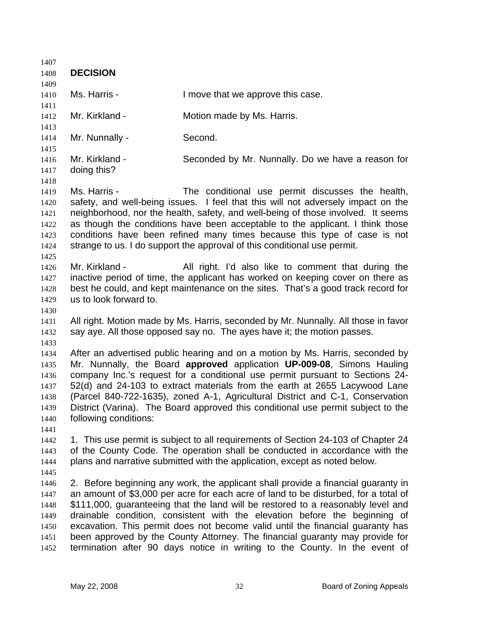1407 1408 1409 1410 1411 1412 1413 1414 1415 1416 1417 1418 1419 1420 1421 1422 1423 1424 1425 1426 1427 1428 1429 1430 1431 1432 1433 1434 1435 1436 1437 1438 1439 1440 1441 1442 1443 1444 1445 1446 1447 1448 1449 1450 1451 1452 **DECISION**  Ms. Harris - The Move that we approve this case. Mr. Kirkland - **Motion made by Ms. Harris.** Mr. Nunnally - Second. Mr. Kirkland - Seconded by Mr. Nunnally. Do we have a reason for doing this? Ms. Harris - The conditional use permit discusses the health, safety, and well-being issues. I feel that this will not adversely impact on the neighborhood, nor the health, safety, and well-being of those involved. It seems as though the conditions have been acceptable to the applicant. I think those conditions have been refined many times because this type of case is not strange to us. I do support the approval of this conditional use permit. Mr. Kirkland - All right. I'd also like to comment that during the inactive period of time, the applicant has worked on keeping cover on there as best he could, and kept maintenance on the sites. That's a good track record for us to look forward to. All right. Motion made by Ms. Harris, seconded by Mr. Nunnally. All those in favor say aye. All those opposed say no. The ayes have it; the motion passes. After an advertised public hearing and on a motion by Ms. Harris, seconded by Mr. Nunnally, the Board **approved** application **UP-009-08**, Simons Hauling company Inc.'s request for a conditional use permit pursuant to Sections 24- 52(d) and 24-103 to extract materials from the earth at 2655 Lacywood Lane (Parcel 840-722-1635), zoned A-1, Agricultural District and C-1, Conservation District (Varina). The Board approved this conditional use permit subject to the following conditions: 1. This use permit is subject to all requirements of Section 24-103 of Chapter 24 of the County Code. The operation shall be conducted in accordance with the plans and narrative submitted with the application, except as noted below. 2. Before beginning any work, the applicant shall provide a financial guaranty in an amount of \$3,000 per acre for each acre of land to be disturbed, for a total of \$111,000, guaranteeing that the land will be restored to a reasonably level and drainable condition, consistent with the elevation before the beginning of excavation. This permit does not become valid until the financial guaranty has been approved by the County Attorney. The financial guaranty may provide for termination after 90 days notice in writing to the County. In the event of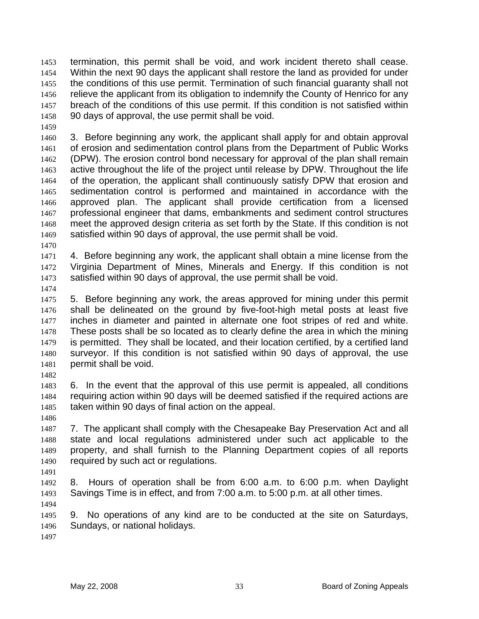termination, this permit shall be void, and work incident thereto shall cease. Within the next 90 days the applicant shall restore the land as provided for under the conditions of this use permit. Termination of such financial guaranty shall not relieve the applicant from its obligation to indemnify the County of Henrico for any breach of the conditions of this use permit. If this condition is not satisfied within 90 days of approval, the use permit shall be void. 1453 1454 1455 1456 1457 1458

1459

1460 1461 1462 1463 1464 1465 1466 1467 1468 1469 3. Before beginning any work, the applicant shall apply for and obtain approval of erosion and sedimentation control plans from the Department of Public Works (DPW). The erosion control bond necessary for approval of the plan shall remain active throughout the life of the project until release by DPW. Throughout the life of the operation, the applicant shall continuously satisfy DPW that erosion and sedimentation control is performed and maintained in accordance with the approved plan. The applicant shall provide certification from a licensed professional engineer that dams, embankments and sediment control structures meet the approved design criteria as set forth by the State. If this condition is not satisfied within 90 days of approval, the use permit shall be void.

1470

1471 1472 1473 4. Before beginning any work, the applicant shall obtain a mine license from the Virginia Department of Mines, Minerals and Energy. If this condition is not satisfied within 90 days of approval, the use permit shall be void.

1474

1475 1476 1477 1478 1479 1480 1481 5. Before beginning any work, the areas approved for mining under this permit shall be delineated on the ground by five-foot-high metal posts at least five inches in diameter and painted in alternate one foot stripes of red and white. These posts shall be so located as to clearly define the area in which the mining is permitted. They shall be located, and their location certified, by a certified land surveyor. If this condition is not satisfied within 90 days of approval, the use permit shall be void.

1482

1483 1484 1485 6. In the event that the approval of this use permit is appealed, all conditions requiring action within 90 days will be deemed satisfied if the required actions are taken within 90 days of final action on the appeal.

1486

1487 1488 1489 1490 7. The applicant shall comply with the Chesapeake Bay Preservation Act and all state and local regulations administered under such act applicable to the property, and shall furnish to the Planning Department copies of all reports required by such act or regulations.

1491

1492 1493 8. Hours of operation shall be from 6:00 a.m. to 6:00 p.m. when Daylight Savings Time is in effect, and from 7:00 a.m. to 5:00 p.m. at all other times.

1494

1495 1496 9. No operations of any kind are to be conducted at the site on Saturdays, Sundays, or national holidays.

1497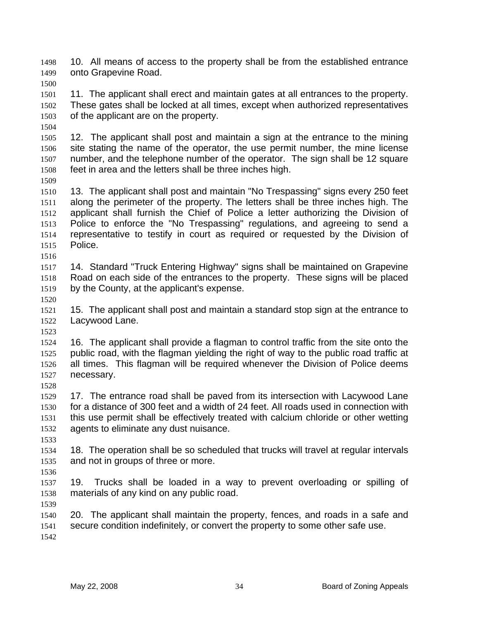10. All means of access to the property shall be from the established entrance onto Grapevine Road. 1498 1499

1500

1501 1502 1503 11. The applicant shall erect and maintain gates at all entrances to the property. These gates shall be locked at all times, except when authorized representatives of the applicant are on the property.

1504

1505 1506 1507 1508 12. The applicant shall post and maintain a sign at the entrance to the mining site stating the name of the operator, the use permit number, the mine license number, and the telephone number of the operator. The sign shall be 12 square feet in area and the letters shall be three inches high.

1509

1510 1511 1512 1513 1514 1515 1516 13. The applicant shall post and maintain "No Trespassing" signs every 250 feet along the perimeter of the property. The letters shall be three inches high. The applicant shall furnish the Chief of Police a letter authorizing the Division of Police to enforce the "No Trespassing" regulations, and agreeing to send a representative to testify in court as required or requested by the Division of Police.

1517 1518 1519 14. Standard "Truck Entering Highway" signs shall be maintained on Grapevine Road on each side of the entrances to the property. These signs will be placed by the County, at the applicant's expense.

1520

1523

1521 1522 15. The applicant shall post and maintain a standard stop sign at the entrance to Lacywood Lane.

1524 1525 1526 1527 16. The applicant shall provide a flagman to control traffic from the site onto the public road, with the flagman yielding the right of way to the public road traffic at all times. This flagman will be required whenever the Division of Police deems necessary.

1528

1529 1530 1531 1532 17. The entrance road shall be paved from its intersection with Lacywood Lane for a distance of 300 feet and a width of 24 feet. All roads used in connection with this use permit shall be effectively treated with calcium chloride or other wetting agents to eliminate any dust nuisance.

1533

1534 1535 18. The operation shall be so scheduled that trucks will travel at regular intervals and not in groups of three or more.

1536 1537 1538 19. Trucks shall be loaded in a way to prevent overloading or spilling of materials of any kind on any public road.

1539

1540 1541 1542 20. The applicant shall maintain the property, fences, and roads in a safe and secure condition indefinitely, or convert the property to some other safe use.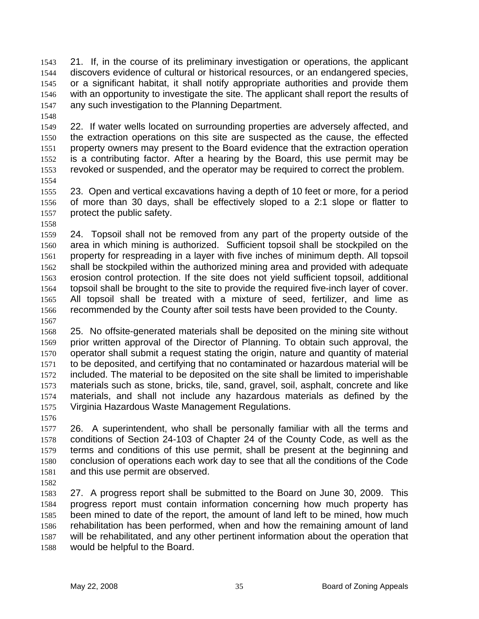21. If, in the course of its preliminary investigation or operations, the applicant discovers evidence of cultural or historical resources, or an endangered species, or a significant habitat, it shall notify appropriate authorities and provide them with an opportunity to investigate the site. The applicant shall report the results of any such investigation to the Planning Department. 1543 1544 1545 1546 1547

1548

1549 1550 1551 1552 1553 1554 22. If water wells located on surrounding properties are adversely affected, and the extraction operations on this site are suspected as the cause, the effected property owners may present to the Board evidence that the extraction operation is a contributing factor. After a hearing by the Board, this use permit may be revoked or suspended, and the operator may be required to correct the problem.

- 1555 1556 1557 23. Open and vertical excavations having a depth of 10 feet or more, for a period of more than 30 days, shall be effectively sloped to a 2:1 slope or flatter to protect the public safety.
- 1558

1559 1560 1561 1562 1563 1564 1565 1566 1567 24. Topsoil shall not be removed from any part of the property outside of the area in which mining is authorized. Sufficient topsoil shall be stockpiled on the property for respreading in a layer with five inches of minimum depth. All topsoil shall be stockpiled within the authorized mining area and provided with adequate erosion control protection. If the site does not yield sufficient topsoil, additional topsoil shall be brought to the site to provide the required five-inch layer of cover. All topsoil shall be treated with a mixture of seed, fertilizer, and lime as recommended by the County after soil tests have been provided to the County.

1568 1569 1570 1571 1572 1573 1574 1575 25. No offsite-generated materials shall be deposited on the mining site without prior written approval of the Director of Planning. To obtain such approval, the operator shall submit a request stating the origin, nature and quantity of material to be deposited, and certifying that no contaminated or hazardous material will be included. The material to be deposited on the site shall be limited to imperishable materials such as stone, bricks, tile, sand, gravel, soil, asphalt, concrete and like materials, and shall not include any hazardous materials as defined by the Virginia Hazardous Waste Management Regulations.

1576

1577 1578 1579 1580 1581 26. A superintendent, who shall be personally familiar with all the terms and conditions of Section 24-103 of Chapter 24 of the County Code, as well as the terms and conditions of this use permit, shall be present at the beginning and conclusion of operations each work day to see that all the conditions of the Code and this use permit are observed.

1582

1583 1584 1585 1586 1587 1588 27. A progress report shall be submitted to the Board on June 30, 2009. This progress report must contain information concerning how much property has been mined to date of the report, the amount of land left to be mined, how much rehabilitation has been performed, when and how the remaining amount of land will be rehabilitated, and any other pertinent information about the operation that would be helpful to the Board.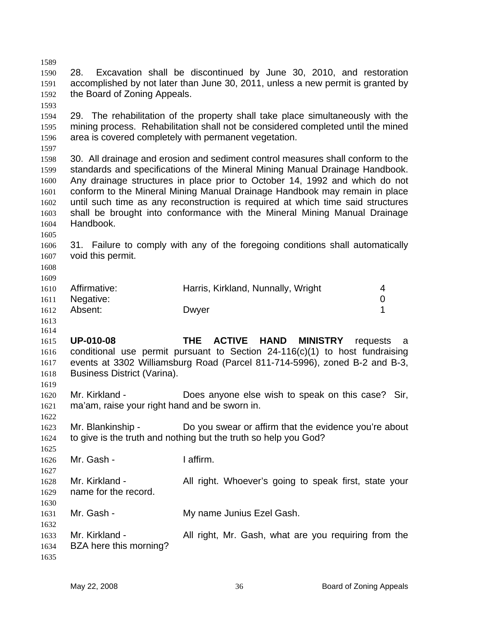1589 1590 1591 1592 1593 1594 1595 1596 1597 1598 1599 1600 1601 1602 1603 1604 1605 1606 1607 1608 1609 1610 1611 1612 1613 1614 1615 1616 1617 1618 1619 1620 1621 1622 1623 1624 1625 1626 1627 1628 1629 1630 1631 1632 1633 1634 28. Excavation shall be discontinued by June 30, 2010, and restoration accomplished by not later than June 30, 2011, unless a new permit is granted by the Board of Zoning Appeals. 29. The rehabilitation of the property shall take place simultaneously with the mining process. Rehabilitation shall not be considered completed until the mined area is covered completely with permanent vegetation. 30. All drainage and erosion and sediment control measures shall conform to the standards and specifications of the Mineral Mining Manual Drainage Handbook. Any drainage structures in place prior to October 14, 1992 and which do not conform to the Mineral Mining Manual Drainage Handbook may remain in place until such time as any reconstruction is required at which time said structures shall be brought into conformance with the Mineral Mining Manual Drainage Handbook. 31. Failure to comply with any of the foregoing conditions shall automatically void this permit. Affirmative: **Harris, Kirkland, Nunnally, Wright** 4 Negative: 0 Absent: Dwyer 1 **UP-010-08 THE ACTIVE HAND MINISTRY** requests a conditional use permit pursuant to Section 24-116(c)(1) to host fundraising events at 3302 Williamsburg Road (Parcel 811-714-5996), zoned B-2 and B-3, Business District (Varina). Mr. Kirkland - **Does anyone else wish to speak on this case?** Sir, ma'am, raise your right hand and be sworn in. Mr. Blankinship - Do you swear or affirm that the evidence you're about to give is the truth and nothing but the truth so help you God? Mr. Gash - I affirm. Mr. Kirkland - All right. Whoever's going to speak first, state your name for the record. Mr. Gash - **My name Junius Ezel Gash.** Mr. Kirkland - All right, Mr. Gash, what are you requiring from the BZA here this morning?

1635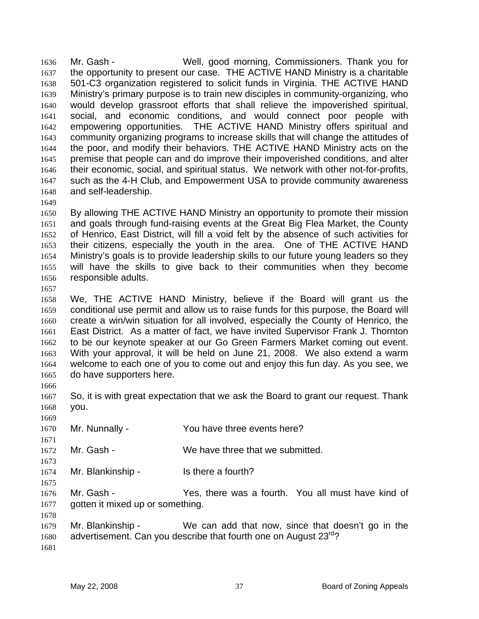Mr. Gash - Well, good morning, Commissioners. Thank you for the opportunity to present our case. THE ACTIVE HAND Ministry is a charitable 501-C3 organization registered to solicit funds in Virginia. THE ACTIVE HAND Ministry's primary purpose is to train new disciples in community-organizing, who would develop grassroot efforts that shall relieve the impoverished spiritual, social, and economic conditions, and would connect poor people with empowering opportunities. THE ACTIVE HAND Ministry offers spiritual and community organizing programs to increase skills that will change the attitudes of the poor, and modify their behaviors. THE ACTIVE HAND Ministry acts on the premise that people can and do improve their impoverished conditions, and alter their economic, social, and spiritual status. We network with other not-for-profits, such as the 4-H Club, and Empowerment USA to provide community awareness and self-leadership. 1636 1637 1638 1639 1640 1641 1642 1643 1644 1645 1646 1647 1648

1649

1650 1651 1652 1653 1654 1655 1656 By allowing THE ACTIVE HAND Ministry an opportunity to promote their mission and goals through fund-raising events at the Great Big Flea Market, the County of Henrico, East District, will fill a void felt by the absence of such activities for their citizens, especially the youth in the area. One of THE ACTIVE HAND Ministry's goals is to provide leadership skills to our future young leaders so they will have the skills to give back to their communities when they become responsible adults.

1657

1666

1669

1671

1673

1675

1658 1659 1660 1661 1662 1663 1664 1665 We, THE ACTIVE HAND Ministry, believe if the Board will grant us the conditional use permit and allow us to raise funds for this purpose, the Board will create a win/win situation for all involved, especially the County of Henrico, the East District. As a matter of fact, we have invited Supervisor Frank J. Thornton to be our keynote speaker at our Go Green Farmers Market coming out event. With your approval, it will be held on June 21, 2008. We also extend a warm welcome to each one of you to come out and enjoy this fun day. As you see, we do have supporters here.

1667 1668 So, it is with great expectation that we ask the Board to grant our request. Thank you.

1670 Mr. Nunnally - You have three events here?

1672 Mr. Gash - We have three that we submitted.

1674 Mr. Blankinship - Is there a fourth?

1676 1677 Mr. Gash - The Yes, there was a fourth. You all must have kind of gotten it mixed up or something.

1678 1679 1680 1681 Mr. Blankinship - We can add that now, since that doesn't go in the advertisement. Can you describe that fourth one on August 23<sup>rd</sup>?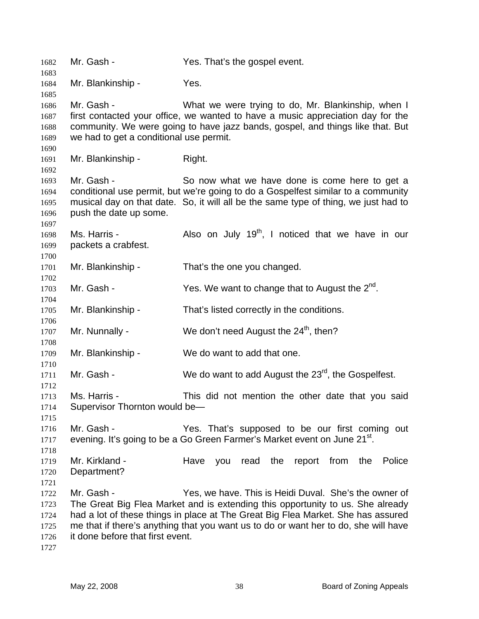Mr. Gash - Yes. That's the gospel event. Mr. Blankinship - Yes. Mr. Gash - What we were trying to do, Mr. Blankinship, when I first contacted your office, we wanted to have a music appreciation day for the community. We were going to have jazz bands, gospel, and things like that. But we had to get a conditional use permit. Mr. Blankinship - Right. Mr. Gash - So now what we have done is come here to get a conditional use permit, but we're going to do a Gospelfest similar to a community musical day on that date. So, it will all be the same type of thing, we just had to push the date up some. Ms. Harris -  $\blacksquare$  Also on July 19<sup>th</sup>, I noticed that we have in our packets a crabfest. Mr. Blankinship - That's the one you changed. Mr. Gash -  $Yes$ . We want to change that to August the  $2^{nd}$ . Mr. Blankinship - That's listed correctly in the conditions. Mr. Nunnally - We don't need August the  $24<sup>th</sup>$ , then? Mr. Blankinship - We do want to add that one. Mr. Gash - We do want to add August the  $23^{rd}$ , the Gospelfest. Ms. Harris - This did not mention the other date that you said Supervisor Thornton would be— Mr. Gash - Yes. That's supposed to be our first coming out evening. It's going to be a Go Green Farmer's Market event on June 21<sup>st</sup>. Mr. Kirkland - Have you read the report from the Police Department? Mr. Gash - Yes, we have. This is Heidi Duval. She's the owner of The Great Big Flea Market and is extending this opportunity to us. She already had a lot of these things in place at The Great Big Flea Market. She has assured me that if there's anything that you want us to do or want her to do, she will have it done before that first event.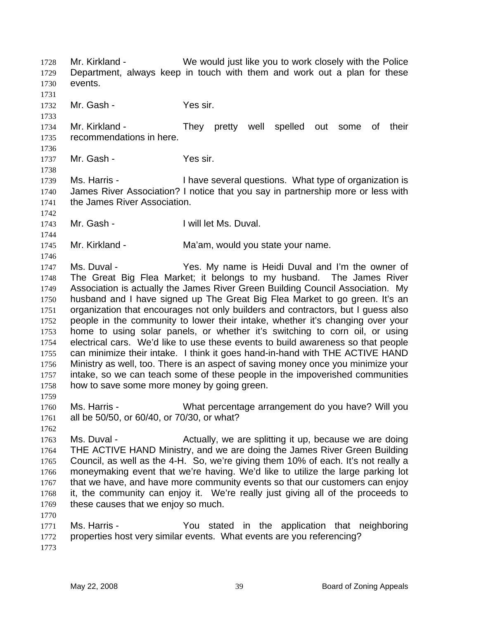Mr. Kirkland - We would just like you to work closely with the Police Department, always keep in touch with them and work out a plan for these events. 1728 1729 1730 1731 1732 Mr. Gash - Yes sir.

1734 1735 Mr. Kirkland - They pretty well spelled out some of their recommendations in here.

1737 Mr. Gash - Yes sir.

1739 1740 1741 Ms. Harris - Thave several questions. What type of organization is James River Association? I notice that you say in partnership more or less with the James River Association.

1743 Mr. Gash - **I** will let Ms. Duval.

1745 Mr. Kirkland - The Ma'am, would you state your name.

1747 1748 1749 1750 1751 1752 1753 1754 1755 1756 1757 1758 Ms. Duval - The Yes. My name is Heidi Duval and I'm the owner of The Great Big Flea Market; it belongs to my husband. The James River Association is actually the James River Green Building Council Association. My husband and I have signed up The Great Big Flea Market to go green. It's an organization that encourages not only builders and contractors, but I guess also people in the community to lower their intake, whether it's changing over your home to using solar panels, or whether it's switching to corn oil, or using electrical cars. We'd like to use these events to build awareness so that people can minimize their intake. I think it goes hand-in-hand with THE ACTIVE HAND Ministry as well, too. There is an aspect of saving money once you minimize your intake, so we can teach some of these people in the impoverished communities how to save some more money by going green.

1760 1761 Ms. Harris - What percentage arrangement do you have? Will you all be 50/50, or 60/40, or 70/30, or what?

1762

1770

1759

1733

1736

1738

1742

1744

1746

1763 1764 1765 1766 1767 1768 1769 Ms. Duval - The Actually, we are splitting it up, because we are doing THE ACTIVE HAND Ministry, and we are doing the James River Green Building Council, as well as the 4-H. So, we're giving them 10% of each. It's not really a moneymaking event that we're having. We'd like to utilize the large parking lot that we have, and have more community events so that our customers can enjoy it, the community can enjoy it. We're really just giving all of the proceeds to these causes that we enjoy so much.

1771 1772 1773 Ms. Harris - You stated in the application that neighboring properties host very similar events. What events are you referencing?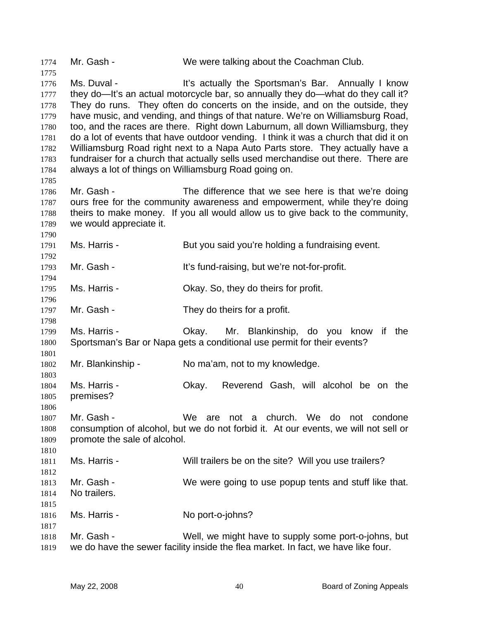1774 Mr. Gash - We were talking about the Coachman Club. 1775 1776 1777 1778 1779 1780 1781 1782 1783 1784 1785 1786 1787 1788 1789 1790 1791 1792 1793 1794 1795 1796 1797 1798 1799 1800 1801 1802 1803 1804 1805 1806 1807 1808 1809 1810 1811 1812 1813 1814 1815 1816 1817 1818 1819 Ms. Duval - **It's actually the Sportsman's Bar.** Annually I know they do—It's an actual motorcycle bar, so annually they do—what do they call it? They do runs. They often do concerts on the inside, and on the outside, they have music, and vending, and things of that nature. We're on Williamsburg Road, too, and the races are there. Right down Laburnum, all down Williamsburg, they do a lot of events that have outdoor vending. I think it was a church that did it on Williamsburg Road right next to a Napa Auto Parts store. They actually have a fundraiser for a church that actually sells used merchandise out there. There are always a lot of things on Williamsburg Road going on. Mr. Gash - The difference that we see here is that we're doing ours free for the community awareness and empowerment, while they're doing theirs to make money. If you all would allow us to give back to the community, we would appreciate it. Ms. Harris - But you said you're holding a fundraising event. Mr. Gash - It's fund-raising, but we're not-for-profit. Ms. Harris - Ckay. So, they do theirs for profit. Mr. Gash - They do theirs for a profit. Ms. Harris - Okay. Mr. Blankinship, do you know if the Sportsman's Bar or Napa gets a conditional use permit for their events? Mr. Blankinship - No ma'am, not to my knowledge. Ms. Harris - Okay. Reverend Gash, will alcohol be on the premises? Mr. Gash - We are not a church. We do not condone consumption of alcohol, but we do not forbid it. At our events, we will not sell or promote the sale of alcohol. Ms. Harris - Will trailers be on the site? Will you use trailers? Mr. Gash - We were going to use popup tents and stuff like that. No trailers. Ms. Harris - No port-o-johns? Mr. Gash - Well, we might have to supply some port-o-johns, but we do have the sewer facility inside the flea market. In fact, we have like four.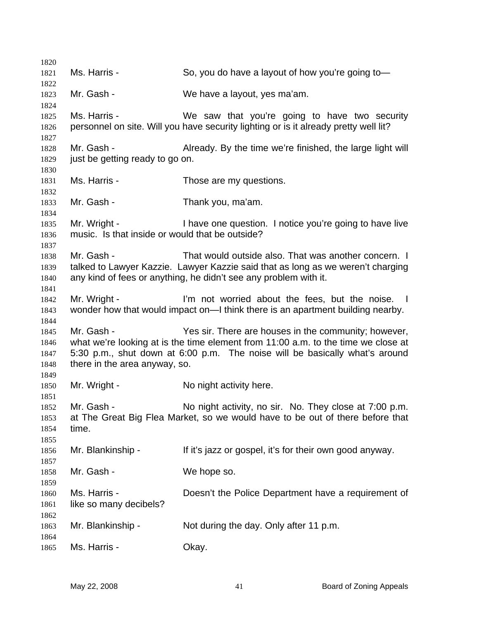Ms. Harris - So, you do have a layout of how you're going to-Mr. Gash - We have a layout, yes ma'am. Ms. Harris - We saw that you're going to have two security personnel on site. Will you have security lighting or is it already pretty well lit? Mr. Gash - Already. By the time we're finished, the large light will just be getting ready to go on. Ms. Harris - Those are my questions. Mr. Gash - Thank you, ma'am. Mr. Wright - I have one question. I notice you're going to have live music. Is that inside or would that be outside? Mr. Gash - That would outside also. That was another concern. I talked to Lawyer Kazzie. Lawyer Kazzie said that as long as we weren't charging any kind of fees or anything, he didn't see any problem with it. Mr. Wright - The Text is a lim not worried about the fees, but the noise. I wonder how that would impact on—I think there is an apartment building nearby. Mr. Gash - Yes sir. There are houses in the community; however, what we're looking at is the time element from 11:00 a.m. to the time we close at 5:30 p.m., shut down at 6:00 p.m. The noise will be basically what's around there in the area anyway, so. Mr. Wright - No night activity here. Mr. Gash - No night activity, no sir. No. They close at 7:00 p.m. at The Great Big Flea Market, so we would have to be out of there before that time. Mr. Blankinship - If it's jazz or gospel, it's for their own good anyway. Mr. Gash - We hope so. Ms. Harris - **Doesn't the Police Department have a requirement of** like so many decibels? Mr. Blankinship - Not during the day. Only after 11 p.m. Ms. Harris - Chay.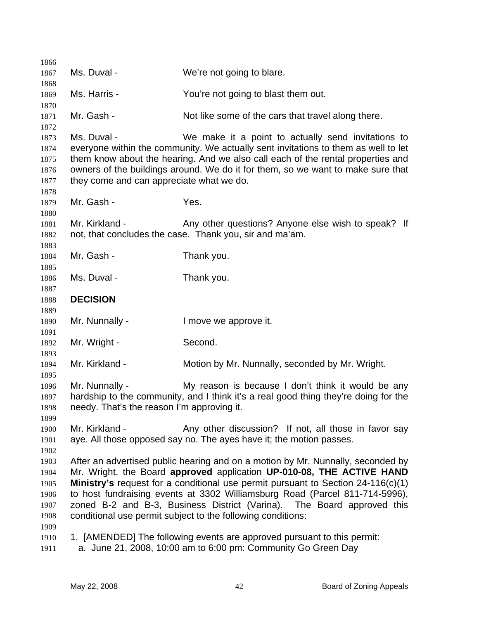| 1866         |                                            |                                                                                                                                                                       |
|--------------|--------------------------------------------|-----------------------------------------------------------------------------------------------------------------------------------------------------------------------|
| 1867         | Ms. Duval -                                | We're not going to blare.                                                                                                                                             |
| 1868         |                                            |                                                                                                                                                                       |
| 1869         | Ms. Harris -                               | You're not going to blast them out.                                                                                                                                   |
| 1870         |                                            |                                                                                                                                                                       |
| 1871         | Mr. Gash -                                 | Not like some of the cars that travel along there.                                                                                                                    |
| 1872         |                                            |                                                                                                                                                                       |
| 1873         | Ms. Duval -                                | We make it a point to actually send invitations to                                                                                                                    |
| 1874<br>1875 |                                            | everyone within the community. We actually sent invitations to them as well to let<br>them know about the hearing. And we also call each of the rental properties and |
| 1876         |                                            | owners of the buildings around. We do it for them, so we want to make sure that                                                                                       |
| 1877         | they come and can appreciate what we do.   |                                                                                                                                                                       |
| 1878         |                                            |                                                                                                                                                                       |
| 1879         | Mr. Gash -                                 | Yes.                                                                                                                                                                  |
| 1880         |                                            |                                                                                                                                                                       |
| 1881         | Mr. Kirkland -                             | Any other questions? Anyone else wish to speak? If                                                                                                                    |
| 1882         |                                            | not, that concludes the case. Thank you, sir and ma'am.                                                                                                               |
| 1883         |                                            |                                                                                                                                                                       |
| 1884         | Mr. Gash -                                 | Thank you.                                                                                                                                                            |
| 1885         |                                            |                                                                                                                                                                       |
| 1886         | Ms. Duval -                                | Thank you.                                                                                                                                                            |
| 1887<br>1888 | <b>DECISION</b>                            |                                                                                                                                                                       |
| 1889         |                                            |                                                                                                                                                                       |
| 1890         | Mr. Nunnally -                             | I move we approve it.                                                                                                                                                 |
| 1891         |                                            |                                                                                                                                                                       |
| 1892         | Mr. Wright -                               | Second.                                                                                                                                                               |
| 1893         |                                            |                                                                                                                                                                       |
| 1894         | Mr. Kirkland -                             | Motion by Mr. Nunnally, seconded by Mr. Wright.                                                                                                                       |
| 1895         |                                            |                                                                                                                                                                       |
| 1896         | Mr. Nunnally -                             | My reason is because I don't think it would be any                                                                                                                    |
| 1897         | needy. That's the reason I'm approving it. | hardship to the community, and I think it's a real good thing they're doing for the                                                                                   |
| 1898<br>1899 |                                            |                                                                                                                                                                       |
| 1900         | Mr. Kirkland -                             | Any other discussion? If not, all those in favor say                                                                                                                  |
| 1901         |                                            | aye. All those opposed say no. The ayes have it; the motion passes.                                                                                                   |
| 1902         |                                            |                                                                                                                                                                       |
| 1903         |                                            | After an advertised public hearing and on a motion by Mr. Nunnally, seconded by                                                                                       |
| 1904         |                                            | Mr. Wright, the Board approved application UP-010-08, THE ACTIVE HAND                                                                                                 |
| 1905         |                                            | Ministry's request for a conditional use permit pursuant to Section 24-116(c)(1)                                                                                      |
| 1906         |                                            | to host fundraising events at 3302 Williamsburg Road (Parcel 811-714-5996),                                                                                           |
| 1907         |                                            | zoned B-2 and B-3, Business District (Varina). The Board approved this                                                                                                |
| 1908         |                                            | conditional use permit subject to the following conditions:                                                                                                           |
| 1909         |                                            |                                                                                                                                                                       |
| 1910         |                                            | 1. [AMENDED] The following events are approved pursuant to this permit:                                                                                               |
| 1911         |                                            | a. June 21, 2008, 10:00 am to 6:00 pm: Community Go Green Day                                                                                                         |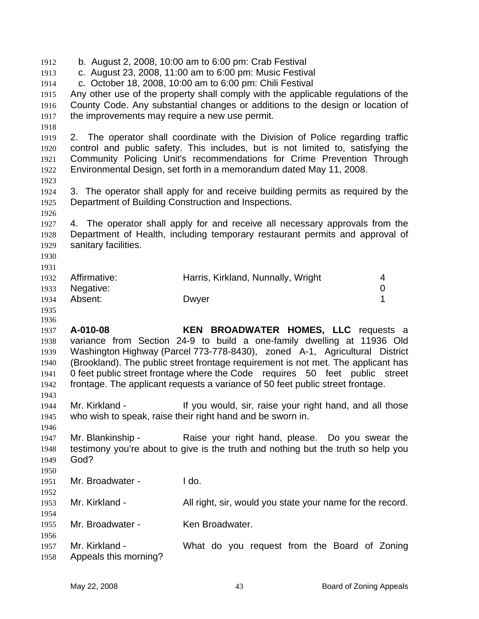1912 b. August 2, 2008, 10:00 am to 6:00 pm: Crab Festival 1913 1914 1915 1916 1917 1918 1919 1920 1921 1922 1923 1924 1925 1926 1927 1928 1929 1930 1931 1932 1933 1934 1935 1936 1937 1938 1939 1940 1941 1942 1943 1944 1945 1946 1947 1948 1949 1950 1951 1952 1953 1954 1955 1956 1957 1958 c. August 23, 2008, 11:00 am to 6:00 pm: Music Festival c. October 18, 2008, 10:00 am to 6:00 pm: Chili Festival Any other use of the property shall comply with the applicable regulations of the County Code. Any substantial changes or additions to the design or location of the improvements may require a new use permit. 2. The operator shall coordinate with the Division of Police regarding traffic control and public safety. This includes, but is not limited to, satisfying the Community Policing Unit's recommendations for Crime Prevention Through Environmental Design, set forth in a memorandum dated May 11, 2008. 3. The operator shall apply for and receive building permits as required by the Department of Building Construction and Inspections. 4. The operator shall apply for and receive all necessary approvals from the Department of Health, including temporary restaurant permits and approval of sanitary facilities. Affirmative: **Harris, Kirkland, Nunnally, Wright** 4 Negative: 0 Absent: Dwyer 1 **A-010-08 KEN BROADWATER HOMES, LLC** requests a variance from Section 24-9 to build a one-family dwelling at 11936 Old Washington Highway (Parcel 773-778-8430), zoned A-1, Agricultural District (Brookland). The public street frontage requirement is not met. The applicant has 0 feet public street frontage where the Code requires 50 feet public street frontage. The applicant requests a variance of 50 feet public street frontage. Mr. Kirkland - If you would, sir, raise your right hand, and all those who wish to speak, raise their right hand and be sworn in. Mr. Blankinship - The Raise your right hand, please. Do you swear the testimony you're about to give is the truth and nothing but the truth so help you God? Mr. Broadwater - Ido. Mr. Kirkland - All right, sir, would you state your name for the record. Mr. Broadwater - Ken Broadwater. Mr. Kirkland - What do you request from the Board of Zoning Appeals this morning?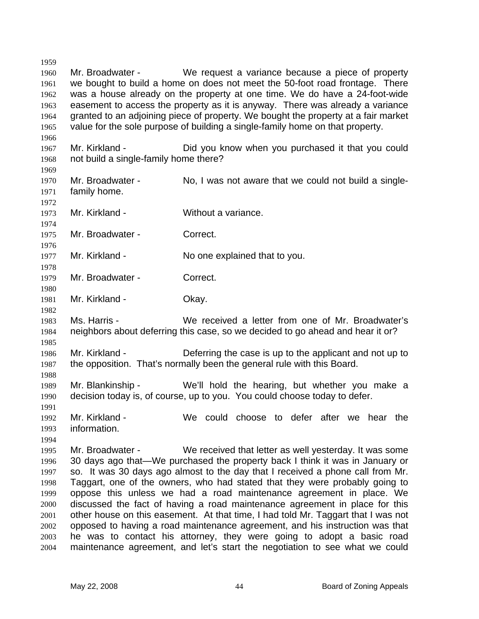1959 1960 1961 1962 1963 1964 1965 1966 1967 1968 1969 1970 1971 1972 1973 1974 1975 1976 1977 1978 1979 1980 1981 1982 1983 1984 1985 1986 1987 1988 1989 1990 1991 1992 1993 1994 1995 1996 1997 1998 1999 2000 2001 2002 2003 2004 Mr. Broadwater - We request a variance because a piece of property we bought to build a home on does not meet the 50-foot road frontage. There was a house already on the property at one time. We do have a 24-foot-wide easement to access the property as it is anyway. There was already a variance granted to an adjoining piece of property. We bought the property at a fair market value for the sole purpose of building a single-family home on that property. Mr. Kirkland - Did you know when you purchased it that you could not build a single-family home there? Mr. Broadwater - No, I was not aware that we could not build a singlefamily home. Mr. Kirkland - Without a variance. Mr. Broadwater - Correct. Mr. Kirkland - No one explained that to you. Mr. Broadwater - Correct. Mr. Kirkland - Chay. Ms. Harris - We received a letter from one of Mr. Broadwater's neighbors about deferring this case, so we decided to go ahead and hear it or? Mr. Kirkland - Deferring the case is up to the applicant and not up to the opposition. That's normally been the general rule with this Board. Mr. Blankinship - We'll hold the hearing, but whether you make a decision today is, of course, up to you. You could choose today to defer. Mr. Kirkland - We could choose to defer after we hear the information. Mr. Broadwater - We received that letter as well yesterday. It was some 30 days ago that—We purchased the property back I think it was in January or so. It was 30 days ago almost to the day that I received a phone call from Mr. Taggart, one of the owners, who had stated that they were probably going to oppose this unless we had a road maintenance agreement in place. We discussed the fact of having a road maintenance agreement in place for this other house on this easement. At that time, I had told Mr. Taggart that I was not opposed to having a road maintenance agreement, and his instruction was that he was to contact his attorney, they were going to adopt a basic road maintenance agreement, and let's start the negotiation to see what we could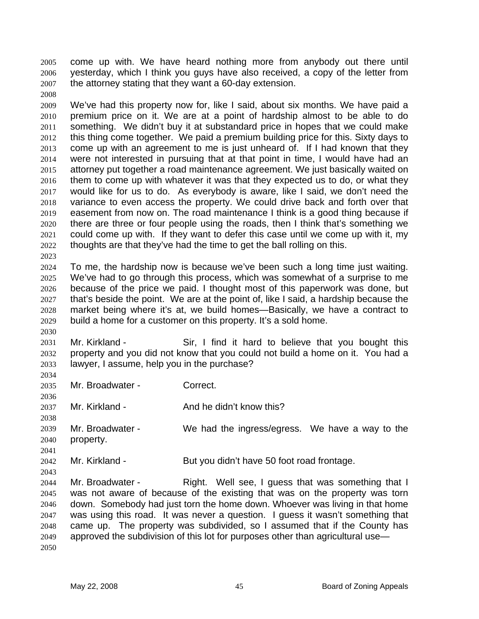come up with. We have heard nothing more from anybody out there until yesterday, which I think you guys have also received, a copy of the letter from the attorney stating that they want a 60-day extension. 2005 2006 2007

2009 2010 2011 2012 2013 2014 2015 2016 2017 2018 2019 2020 2021 2022 We've had this property now for, like I said, about six months. We have paid a premium price on it. We are at a point of hardship almost to be able to do something. We didn't buy it at substandard price in hopes that we could make this thing come together. We paid a premium building price for this. Sixty days to come up with an agreement to me is just unheard of. If I had known that they were not interested in pursuing that at that point in time, I would have had an attorney put together a road maintenance agreement. We just basically waited on them to come up with whatever it was that they expected us to do, or what they would like for us to do. As everybody is aware, like I said, we don't need the variance to even access the property. We could drive back and forth over that easement from now on. The road maintenance I think is a good thing because if there are three or four people using the roads, then I think that's something we could come up with. If they want to defer this case until we come up with it, my thoughts are that they've had the time to get the ball rolling on this.

2024 2025 2026 2027 2028 2029 To me, the hardship now is because we've been such a long time just waiting. We've had to go through this process, which was somewhat of a surprise to me because of the price we paid. I thought most of this paperwork was done, but that's beside the point. We are at the point of, like I said, a hardship because the market being where it's at, we build homes—Basically, we have a contract to build a home for a customer on this property. It's a sold home.

2031 2032 2033 Mr. Kirkland - Sir, I find it hard to believe that you bought this property and you did not know that you could not build a home on it. You had a lawyer, I assume, help you in the purchase?

2035 Mr. Broadwater - Correct.

2008

2023

2030

2034

2036

2038

2041

2043

2037 Mr. Kirkland - And he didn't know this?

2039 2040 Mr. Broadwater - We had the ingress/egress. We have a way to the property.

2042 Mr. Kirkland - But you didn't have 50 foot road frontage.

2044 2045 2046 2047 2048 2049 2050 Mr. Broadwater - The Right. Well see, I guess that was something that I was not aware of because of the existing that was on the property was torn down. Somebody had just torn the home down. Whoever was living in that home was using this road. It was never a question. I guess it wasn't something that came up. The property was subdivided, so I assumed that if the County has approved the subdivision of this lot for purposes other than agricultural use—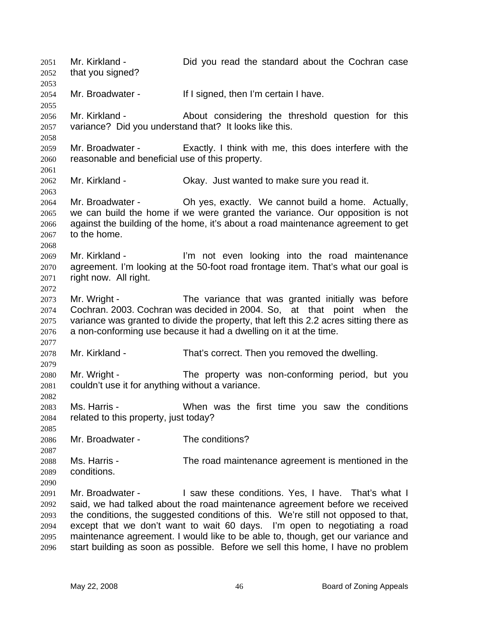Mr. Kirkland - Did you read the standard about the Cochran case that you signed? 2051 2052 2053 2054 2055 2056 2057 2058 2059 2060 2061 2062 2063 2064 2065 2066 2067 2068 2069 2070 2071 2072 2073 2074 2075 2076 2077 2078 2079 2080 2081 2082 2083 2084 2085 2086 2087 2088 2089 2090 2091 2092 2093 2094 2095 2096 Mr. Broadwater - If I signed, then I'm certain I have. Mr. Kirkland - About considering the threshold question for this variance? Did you understand that? It looks like this. Mr. Broadwater - Exactly. I think with me, this does interfere with the reasonable and beneficial use of this property. Mr. Kirkland - Ckay. Just wanted to make sure you read it. Mr. Broadwater - Ch yes, exactly. We cannot build a home. Actually, we can build the home if we were granted the variance. Our opposition is not against the building of the home, it's about a road maintenance agreement to get to the home. Mr. Kirkland - I'm not even looking into the road maintenance agreement. I'm looking at the 50-foot road frontage item. That's what our goal is right now. All right. Mr. Wright - The variance that was granted initially was before Cochran. 2003. Cochran was decided in 2004. So, at that point when the variance was granted to divide the property, that left this 2.2 acres sitting there as a non-conforming use because it had a dwelling on it at the time. Mr. Kirkland - That's correct. Then you removed the dwelling. Mr. Wright - The property was non-conforming period, but you couldn't use it for anything without a variance. Ms. Harris - The Motel was the first time you saw the conditions related to this property, just today? Mr. Broadwater - The conditions? Ms. Harris - The road maintenance agreement is mentioned in the conditions. Mr. Broadwater - The Saw these conditions. Yes, I have. That's what I said, we had talked about the road maintenance agreement before we received the conditions, the suggested conditions of this. We're still not opposed to that, except that we don't want to wait 60 days. I'm open to negotiating a road maintenance agreement. I would like to be able to, though, get our variance and start building as soon as possible. Before we sell this home, I have no problem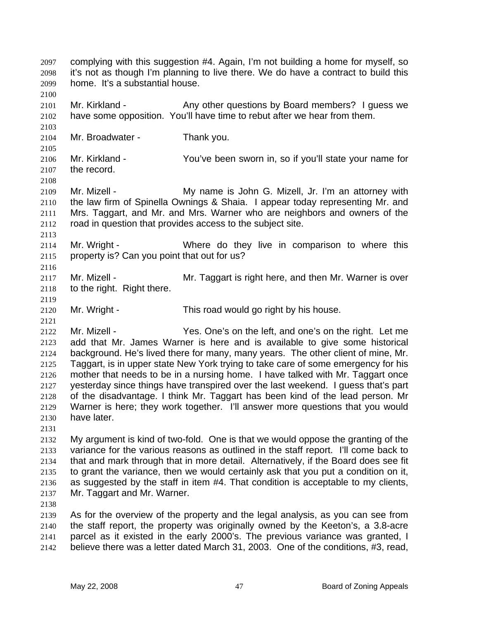it's not as though I'm planning to live there. We do have a contract to build this home. It's a substantial house. 2098 2099 2100 2101 2102 2103 2104 2105 2106 2107 2108 2109 2110 Mr. Kirkland - Any other questions by Board members? I quess we have some opposition. You'll have time to rebut after we hear from them. Mr. Broadwater - Thank you. Mr. Kirkland - You've been sworn in, so if you'll state your name for the record. Mr. Mizell - **My name is John G. Mizell, Jr. I'm an attorney with** the law firm of Spinella Ownings & Shaia. I appear today representing Mr. and

complying with this suggestion #4. Again, I'm not building a home for myself, so

2111 2112 Mrs. Taggart, and Mr. and Mrs. Warner who are neighbors and owners of the road in question that provides access to the subject site.

2114 2115 Mr. Wright - Where do they live in comparison to where this property is? Can you point that out for us?

2117 2118 Mr. Mizell - **Mr. Taggart is right here, and then Mr. Warner is over** to the right. Right there.

2120 Mr. Wright - This road would go right by his house.

2122 2123 2124 2125 2126 2127 2128 2129 2130 Mr. Mizell - Yes. One's on the left, and one's on the right. Let me add that Mr. James Warner is here and is available to give some historical background. He's lived there for many, many years. The other client of mine, Mr. Taggart, is in upper state New York trying to take care of some emergency for his mother that needs to be in a nursing home. I have talked with Mr. Taggart once yesterday since things have transpired over the last weekend. I guess that's part of the disadvantage. I think Mr. Taggart has been kind of the lead person. Mr Warner is here; they work together. I'll answer more questions that you would have later.

2131

2097

2113

2116

2119

2121

2132 2133 2134 2135 2136 2137 My argument is kind of two-fold. One is that we would oppose the granting of the variance for the various reasons as outlined in the staff report. I'll come back to that and mark through that in more detail. Alternatively, if the Board does see fit to grant the variance, then we would certainly ask that you put a condition on it, as suggested by the staff in item #4. That condition is acceptable to my clients, Mr. Taggart and Mr. Warner.

2138

2139 2140 2141 2142 As for the overview of the property and the legal analysis, as you can see from the staff report, the property was originally owned by the Keeton's, a 3.8-acre parcel as it existed in the early 2000's. The previous variance was granted, I believe there was a letter dated March 31, 2003. One of the conditions, #3, read,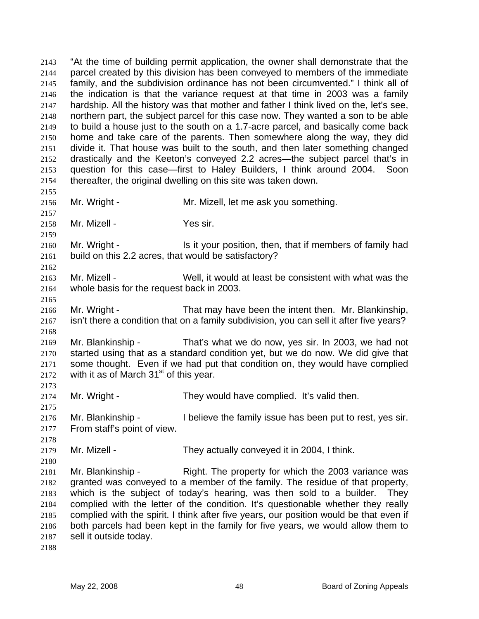"At the time of building permit application, the owner shall demonstrate that the parcel created by this division has been conveyed to members of the immediate family, and the subdivision ordinance has not been circumvented." I think all of the indication is that the variance request at that time in 2003 was a family hardship. All the history was that mother and father I think lived on the, let's see, northern part, the subject parcel for this case now. They wanted a son to be able to build a house just to the south on a 1.7-acre parcel, and basically come back home and take care of the parents. Then somewhere along the way, they did divide it. That house was built to the south, and then later something changed drastically and the Keeton's conveyed 2.2 acres—the subject parcel that's in question for this case—first to Haley Builders, I think around 2004. Soon thereafter, the original dwelling on this site was taken down. 2143 2144 2145 2146 2147 2148 2149 2150 2151 2152 2153 2154 2155 2156 2157 2158 2159 2160 2161 2162 2163 2164 2165 2166 2167 2168 2169 2170 2171 2172 2173 2174 2175 2176 2177 2178 2179 2180 2181 2182 2183 2184 2185 2186 2187 Mr. Wright - Mr. Mizell, let me ask you something. Mr. Mizell - Yes sir. Mr. Wright - The Is it your position, then, that if members of family had build on this 2.2 acres, that would be satisfactory? Mr. Mizell - Well, it would at least be consistent with what was the whole basis for the request back in 2003. Mr. Wright - That may have been the intent then. Mr. Blankinship, isn't there a condition that on a family subdivision, you can sell it after five years? Mr. Blankinship - That's what we do now, yes sir. In 2003, we had not started using that as a standard condition yet, but we do now. We did give that some thought. Even if we had put that condition on, they would have complied with it as of March  $31<sup>st</sup>$  of this year. Mr. Wright - They would have complied. It's valid then. Mr. Blankinship - I believe the family issue has been put to rest, yes sir. From staff's point of view. Mr. Mizell - They actually conveyed it in 2004, I think. Mr. Blankinship - Right. The property for which the 2003 variance was granted was conveyed to a member of the family. The residue of that property, which is the subject of today's hearing, was then sold to a builder. They complied with the letter of the condition. It's questionable whether they really complied with the spirit. I think after five years, our position would be that even if both parcels had been kept in the family for five years, we would allow them to sell it outside today.

2188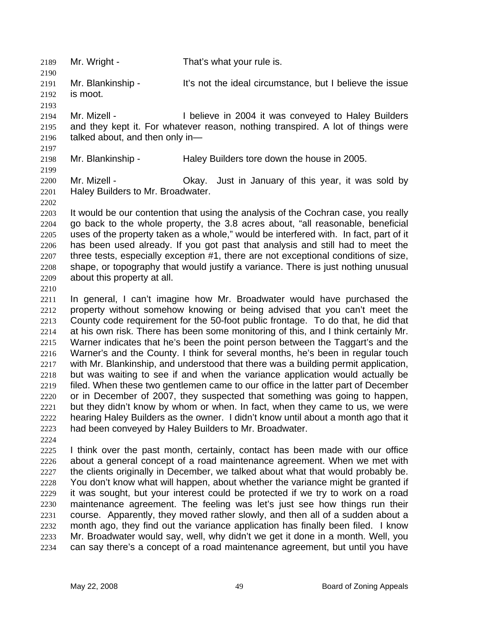2189 Mr. Wright - That's what your rule is.

2191 2192 Mr. Blankinship - It's not the ideal circumstance, but I believe the issue is moot.

2194 2195 2196 Mr. Mizell - **I** believe in 2004 it was conveyed to Haley Builders and they kept it. For whatever reason, nothing transpired. A lot of things were talked about, and then only in—

2198 Mr. Blankinship - Haley Builders tore down the house in 2005.

2200 2201 Mr. Mizell - Ckay. Just in January of this year, it was sold by Haley Builders to Mr. Broadwater.

2203 2204 2205 2206 2207 2208 2209 It would be our contention that using the analysis of the Cochran case, you really go back to the whole property, the 3.8 acres about, "all reasonable, beneficial uses of the property taken as a whole," would be interfered with. In fact, part of it has been used already. If you got past that analysis and still had to meet the three tests, especially exception #1, there are not exceptional conditions of size, shape, or topography that would justify a variance. There is just nothing unusual about this property at all.

2210

2190

2193

2197

2199

2202

2211 2212 2213 2214 2215 2216 2217 2218 2219 2220 2221 2222 2223 In general, I can't imagine how Mr. Broadwater would have purchased the property without somehow knowing or being advised that you can't meet the County code requirement for the 50-foot public frontage. To do that, he did that at his own risk. There has been some monitoring of this, and I think certainly Mr. Warner indicates that he's been the point person between the Taggart's and the Warner's and the County. I think for several months, he's been in regular touch with Mr. Blankinship, and understood that there was a building permit application, but was waiting to see if and when the variance application would actually be filed. When these two gentlemen came to our office in the latter part of December or in December of 2007, they suspected that something was going to happen, but they didn't know by whom or when. In fact, when they came to us, we were hearing Haley Builders as the owner. I didn't know until about a month ago that it had been conveyed by Haley Builders to Mr. Broadwater.

2224

2225 2226 2227 2228 2229 2230 2231 2232 2233 2234 I think over the past month, certainly, contact has been made with our office about a general concept of a road maintenance agreement. When we met with the clients originally in December, we talked about what that would probably be. You don't know what will happen, about whether the variance might be granted if it was sought, but your interest could be protected if we try to work on a road maintenance agreement. The feeling was let's just see how things run their course. Apparently, they moved rather slowly, and then all of a sudden about a month ago, they find out the variance application has finally been filed. I know Mr. Broadwater would say, well, why didn't we get it done in a month. Well, you can say there's a concept of a road maintenance agreement, but until you have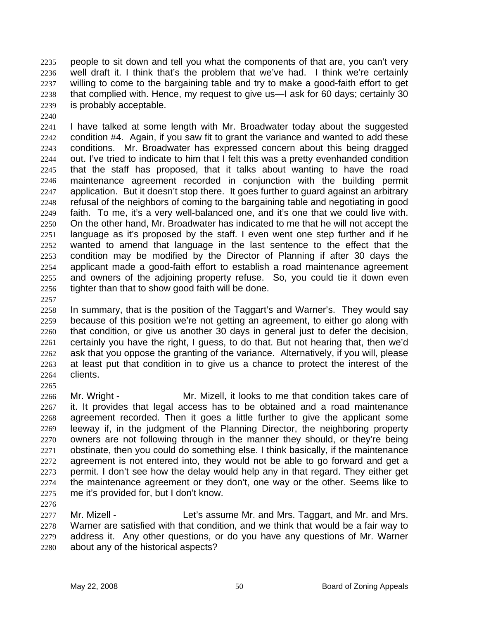people to sit down and tell you what the components of that are, you can't very well draft it. I think that's the problem that we've had. I think we're certainly willing to come to the bargaining table and try to make a good-faith effort to get that complied with. Hence, my request to give us—I ask for 60 days; certainly 30 is probably acceptable. 2235 2236 2237 2238 2239

2240

2241 2242 2243 2244 2245 2246 2247 2248 2249 2250 2251 2252 2253 2254 2255 2256 I have talked at some length with Mr. Broadwater today about the suggested condition #4. Again, if you saw fit to grant the variance and wanted to add these conditions. Mr. Broadwater has expressed concern about this being dragged out. I've tried to indicate to him that I felt this was a pretty evenhanded condition that the staff has proposed, that it talks about wanting to have the road maintenance agreement recorded in conjunction with the building permit application. But it doesn't stop there. It goes further to guard against an arbitrary refusal of the neighbors of coming to the bargaining table and negotiating in good faith. To me, it's a very well-balanced one, and it's one that we could live with. On the other hand, Mr. Broadwater has indicated to me that he will not accept the language as it's proposed by the staff. I even went one step further and if he wanted to amend that language in the last sentence to the effect that the condition may be modified by the Director of Planning if after 30 days the applicant made a good-faith effort to establish a road maintenance agreement and owners of the adjoining property refuse. So, you could tie it down even tighter than that to show good faith will be done.

2257

2265

2258 2259 2260 2261 2262 2263 2264 In summary, that is the position of the Taggart's and Warner's. They would say because of this position we're not getting an agreement, to either go along with that condition, or give us another 30 days in general just to defer the decision, certainly you have the right, I guess, to do that. But not hearing that, then we'd ask that you oppose the granting of the variance. Alternatively, if you will, please at least put that condition in to give us a chance to protect the interest of the clients.

2266 2267 2268 2269 2270 2271 2272 2273 2274 2275 Mr. Wright - Mr. Mizell, it looks to me that condition takes care of it. It provides that legal access has to be obtained and a road maintenance agreement recorded. Then it goes a little further to give the applicant some leeway if, in the judgment of the Planning Director, the neighboring property owners are not following through in the manner they should, or they're being obstinate, then you could do something else. I think basically, if the maintenance agreement is not entered into, they would not be able to go forward and get a permit. I don't see how the delay would help any in that regard. They either get the maintenance agreement or they don't, one way or the other. Seems like to me it's provided for, but I don't know.

2276

2277 2278 2279 2280 Mr. Mizell - Let's assume Mr. and Mrs. Taggart, and Mr. and Mrs. Warner are satisfied with that condition, and we think that would be a fair way to address it. Any other questions, or do you have any questions of Mr. Warner about any of the historical aspects?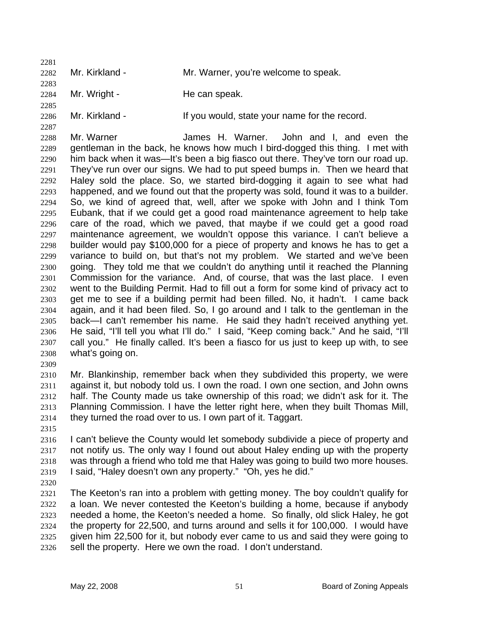2281 2282 2283 Mr. Kirkland - **Mr. Warner, you're welcome to speak.** 

2284 2285 Mr. Wright - The can speak.

2286

2287

Mr. Kirkland - If you would, state your name for the record.

2288 2289 2290 2291 2292 2293 2294 2295 2296 2297 2298 2299 2300 2301 2302 2303 2304 2305 2306 2307 2308 Mr. Warner **Starte H. Warner.** John and I, and even the gentleman in the back, he knows how much I bird-dogged this thing. I met with him back when it was—It's been a big fiasco out there. They've torn our road up. They've run over our signs. We had to put speed bumps in. Then we heard that Haley sold the place. So, we started bird-dogging it again to see what had happened, and we found out that the property was sold, found it was to a builder. So, we kind of agreed that, well, after we spoke with John and I think Tom Eubank, that if we could get a good road maintenance agreement to help take care of the road, which we paved, that maybe if we could get a good road maintenance agreement, we wouldn't oppose this variance. I can't believe a builder would pay \$100,000 for a piece of property and knows he has to get a variance to build on, but that's not my problem. We started and we've been going. They told me that we couldn't do anything until it reached the Planning Commission for the variance. And, of course, that was the last place. I even went to the Building Permit. Had to fill out a form for some kind of privacy act to get me to see if a building permit had been filled. No, it hadn't. I came back again, and it had been filed. So, I go around and I talk to the gentleman in the back—I can't remember his name. He said they hadn't received anything yet. He said, "I'll tell you what I'll do." I said, "Keep coming back." And he said, "I'll call you." He finally called. It's been a fiasco for us just to keep up with, to see what's going on.

2309

2310 2311 2312 2313 2314 Mr. Blankinship, remember back when they subdivided this property, we were against it, but nobody told us. I own the road. I own one section, and John owns half. The County made us take ownership of this road; we didn't ask for it. The Planning Commission. I have the letter right here, when they built Thomas Mill, they turned the road over to us. I own part of it. Taggart.

2315

2316 2317 2318 2319 I can't believe the County would let somebody subdivide a piece of property and not notify us. The only way I found out about Haley ending up with the property was through a friend who told me that Haley was going to build two more houses. I said, "Haley doesn't own any property." "Oh, yes he did."

2320

2321 2322 2323 2324 2325 2326 The Keeton's ran into a problem with getting money. The boy couldn't qualify for a loan. We never contested the Keeton's building a home, because if anybody needed a home, the Keeton's needed a home. So finally, old slick Haley, he got the property for 22,500, and turns around and sells it for 100,000. I would have given him 22,500 for it, but nobody ever came to us and said they were going to sell the property. Here we own the road. I don't understand.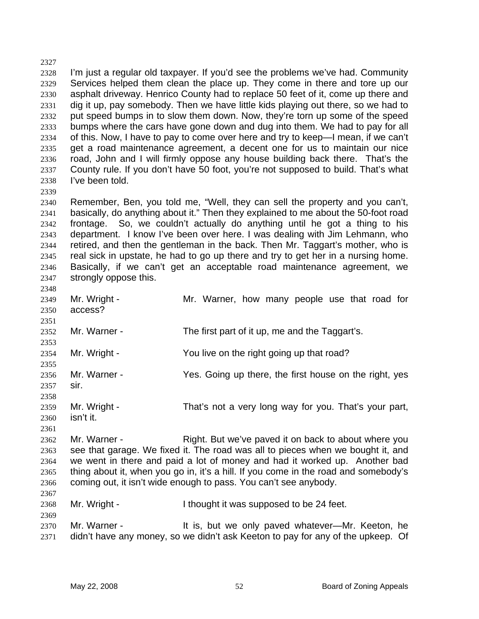2327 2328 2329 2330 2331 2332 2333 2334 2335 2336 2337 2338 2339 I'm just a regular old taxpayer. If you'd see the problems we've had. Community Services helped them clean the place up. They come in there and tore up our asphalt driveway. Henrico County had to replace 50 feet of it, come up there and dig it up, pay somebody. Then we have little kids playing out there, so we had to put speed bumps in to slow them down. Now, they're torn up some of the speed bumps where the cars have gone down and dug into them. We had to pay for all of this. Now, I have to pay to come over here and try to keep—I mean, if we can't get a road maintenance agreement, a decent one for us to maintain our nice road, John and I will firmly oppose any house building back there. That's the County rule. If you don't have 50 foot, you're not supposed to build. That's what I've been told.

2340 2341 2342 2343 2344 2345 2346 2347 Remember, Ben, you told me, "Well, they can sell the property and you can't, basically, do anything about it." Then they explained to me about the 50-foot road frontage. So, we couldn't actually do anything until he got a thing to his department. I know I've been over here. I was dealing with Jim Lehmann, who retired, and then the gentleman in the back. Then Mr. Taggart's mother, who is real sick in upstate, he had to go up there and try to get her in a nursing home. Basically, if we can't get an acceptable road maintenance agreement, we strongly oppose this.

2349 2350 2351 2352 2353 2354 2355 2356 2357 2358 2359 2360 2361 2362 2363 2364 2365 2366 2367 Mr. Wright - The Mr. Warner, how many people use that road for access? Mr. Warner - The first part of it up, me and the Taggart's. Mr. Wright - You live on the right going up that road? Mr. Warner - The Yes. Going up there, the first house on the right, yes sir. Mr. Wright - That's not a very long way for you. That's your part, isn't it. Mr. Warner - Right. But we've paved it on back to about where you see that garage. We fixed it. The road was all to pieces when we bought it, and we went in there and paid a lot of money and had it worked up. Another bad thing about it, when you go in, it's a hill. If you come in the road and somebody's coming out, it isn't wide enough to pass. You can't see anybody.

- 2368 2369 Mr. Wright - Thought it was supposed to be 24 feet.
- 2370 2371 Mr. Warner - It is, but we only paved whatever—Mr. Keeton, he didn't have any money, so we didn't ask Keeton to pay for any of the upkeep. Of

2348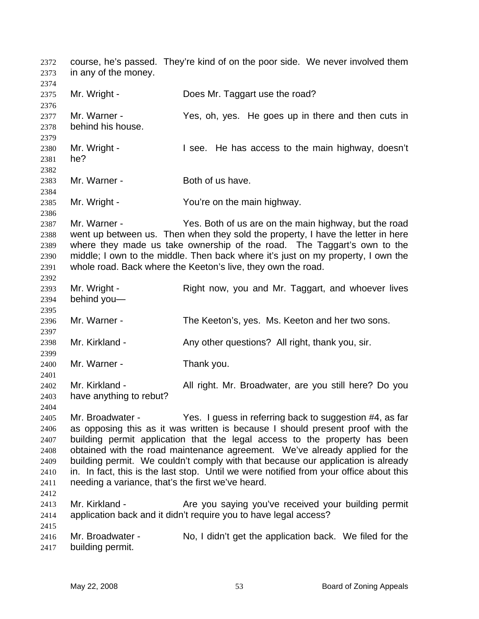course, he's passed. They're kind of on the poor side. We never involved them in any of the money. 2372 2373 2374 2375 2376 2377 2378 2379 2380 2381 2382 2383 2384 2385 2386 2387 2388 2389 2390 2391 2392 2393 2394 2395 2396 2397 2398 2399 2400 2401 2402 2403 2404 2405 2406 2407 2408 2409 2410 2411 2412 2413 2414 2415 2416 2417 Mr. Wright - Does Mr. Taggart use the road? Mr. Warner - The Yes, oh, yes. He goes up in there and then cuts in behind his house. Mr. Wright - I see. He has access to the main highway, doesn't he? Mr. Warner - Both of us have. Mr. Wright - You're on the main highway. Mr. Warner - Yes. Both of us are on the main highway, but the road went up between us. Then when they sold the property, I have the letter in here where they made us take ownership of the road. The Taggart's own to the middle; I own to the middle. Then back where it's just on my property, I own the whole road. Back where the Keeton's live, they own the road. Mr. Wright - Right now, you and Mr. Taggart, and whoever lives behind you— Mr. Warner - The Keeton's, yes. Ms. Keeton and her two sons. Mr. Kirkland - Any other questions? All right, thank you, sir. Mr. Warner - Thank you. Mr. Kirkland - All right. Mr. Broadwater, are you still here? Do you have anything to rebut? Mr. Broadwater - Yes. I guess in referring back to suggestion #4, as far as opposing this as it was written is because I should present proof with the building permit application that the legal access to the property has been obtained with the road maintenance agreement. We've already applied for the building permit. We couldn't comply with that because our application is already in. In fact, this is the last stop. Until we were notified from your office about this needing a variance, that's the first we've heard. Mr. Kirkland - Are you saying you've received your building permit application back and it didn't require you to have legal access? Mr. Broadwater - No, I didn't get the application back. We filed for the building permit.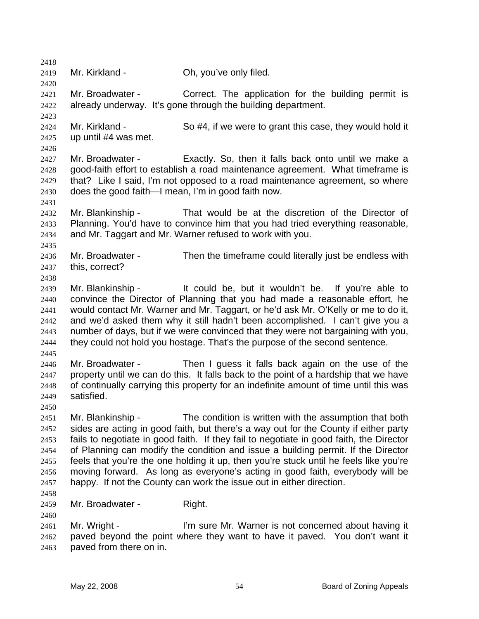2418 2419 2420 2421 2422 2423 2424 2425 2426 2427 2428 2429 2430 2431 2432 2433 2434 2435 2436 2437 2438 2439 2440 2441 2442 2443 2444 2445 2446 2447 2448 2449 2450 2451 2452 2453 2454 2455 2456 2457 2458 2459 2460 2461 2462 2463 Mr. Kirkland - Ch, you've only filed. Mr. Broadwater - Correct. The application for the building permit is already underway. It's gone through the building department. Mr. Kirkland - So #4, if we were to grant this case, they would hold it up until #4 was met. Mr. Broadwater - Exactly. So, then it falls back onto until we make a good-faith effort to establish a road maintenance agreement. What timeframe is that? Like I said, I'm not opposed to a road maintenance agreement, so where does the good faith—I mean, I'm in good faith now. Mr. Blankinship - That would be at the discretion of the Director of Planning. You'd have to convince him that you had tried everything reasonable, and Mr. Taggart and Mr. Warner refused to work with you. Mr. Broadwater - Then the timeframe could literally just be endless with this, correct? Mr. Blankinship - It could be, but it wouldn't be. If you're able to convince the Director of Planning that you had made a reasonable effort, he would contact Mr. Warner and Mr. Taggart, or he'd ask Mr. O'Kelly or me to do it, and we'd asked them why it still hadn't been accomplished. I can't give you a number of days, but if we were convinced that they were not bargaining with you, they could not hold you hostage. That's the purpose of the second sentence. Mr. Broadwater - Then I guess it falls back again on the use of the property until we can do this. It falls back to the point of a hardship that we have of continually carrying this property for an indefinite amount of time until this was satisfied. Mr. Blankinship - The condition is written with the assumption that both sides are acting in good faith, but there's a way out for the County if either party fails to negotiate in good faith. If they fail to negotiate in good faith, the Director of Planning can modify the condition and issue a building permit. If the Director feels that you're the one holding it up, then you're stuck until he feels like you're moving forward. As long as everyone's acting in good faith, everybody will be happy. If not the County can work the issue out in either direction. Mr. Broadwater - Right. Mr. Wright - I'm sure Mr. Warner is not concerned about having it paved beyond the point where they want to have it paved. You don't want it paved from there on in.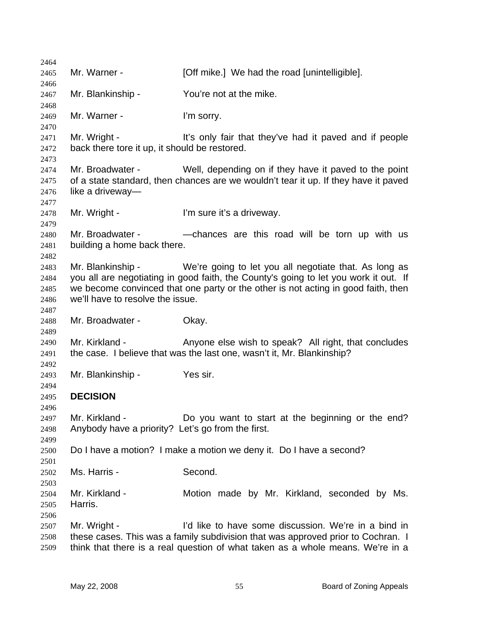| 2464         |                                                                                                                       |                                                                                                                                |  |
|--------------|-----------------------------------------------------------------------------------------------------------------------|--------------------------------------------------------------------------------------------------------------------------------|--|
| 2465         | Mr. Warner -                                                                                                          | [Off mike.] We had the road [unintelligible].                                                                                  |  |
| 2466<br>2467 | Mr. Blankinship -                                                                                                     | You're not at the mike.                                                                                                        |  |
| 2468         |                                                                                                                       |                                                                                                                                |  |
| 2469<br>2470 | Mr. Warner -                                                                                                          | I'm sorry.                                                                                                                     |  |
| 2471         | Mr. Wright -                                                                                                          | It's only fair that they've had it paved and if people                                                                         |  |
| 2472<br>2473 | back there tore it up, it should be restored.                                                                         |                                                                                                                                |  |
| 2474         | Mr. Broadwater -                                                                                                      | Well, depending on if they have it paved to the point                                                                          |  |
| 2475         | of a state standard, then chances are we wouldn't tear it up. If they have it paved                                   |                                                                                                                                |  |
| 2476<br>2477 | like a driveway-                                                                                                      |                                                                                                                                |  |
| 2478         | Mr. Wright -                                                                                                          | I'm sure it's a driveway.                                                                                                      |  |
| 2479         |                                                                                                                       |                                                                                                                                |  |
| 2480<br>2481 | Mr. Broadwater -<br>-chances are this road will be torn up with us<br>building a home back there.                     |                                                                                                                                |  |
| 2482         |                                                                                                                       |                                                                                                                                |  |
| 2483         | Mr. Blankinship -                                                                                                     | We're going to let you all negotiate that. As long as                                                                          |  |
| 2484<br>2485 | you all are negotiating in good faith, the County's going to let you work it out. If                                  |                                                                                                                                |  |
| 2486         | we become convinced that one party or the other is not acting in good faith, then<br>we'll have to resolve the issue. |                                                                                                                                |  |
| 2487         |                                                                                                                       |                                                                                                                                |  |
| 2488<br>2489 | Mr. Broadwater -                                                                                                      | Okay.                                                                                                                          |  |
| 2490<br>2491 | Mr. Kirkland -                                                                                                        | Anyone else wish to speak? All right, that concludes<br>the case. I believe that was the last one, wasn't it, Mr. Blankinship? |  |
| 2492         |                                                                                                                       |                                                                                                                                |  |
| 2493         | Mr. Blankinship -                                                                                                     | Yes sir.                                                                                                                       |  |
| 2494<br>2495 | <b>DECISION</b>                                                                                                       |                                                                                                                                |  |
| 2496         |                                                                                                                       |                                                                                                                                |  |
| 2497<br>2498 | Mr. Kirkland -<br>Anybody have a priority? Let's go from the first.                                                   | Do you want to start at the beginning or the end?                                                                              |  |
| 2499         |                                                                                                                       |                                                                                                                                |  |
| 2500<br>2501 | Do I have a motion? I make a motion we deny it. Do I have a second?                                                   |                                                                                                                                |  |
| 2502         | Ms. Harris -                                                                                                          | Second.                                                                                                                        |  |
| 2503         |                                                                                                                       |                                                                                                                                |  |
| 2504         | Mr. Kirkland -                                                                                                        | Motion made by Mr. Kirkland, seconded by Ms.                                                                                   |  |
| 2505         | Harris.                                                                                                               |                                                                                                                                |  |
| 2506<br>2507 | Mr. Wright -                                                                                                          | I'd like to have some discussion. We're in a bind in                                                                           |  |
| 2508         |                                                                                                                       | these cases. This was a family subdivision that was approved prior to Cochran. I                                               |  |
| 2509         | think that there is a real question of what taken as a whole means. We're in a                                        |                                                                                                                                |  |
|              |                                                                                                                       |                                                                                                                                |  |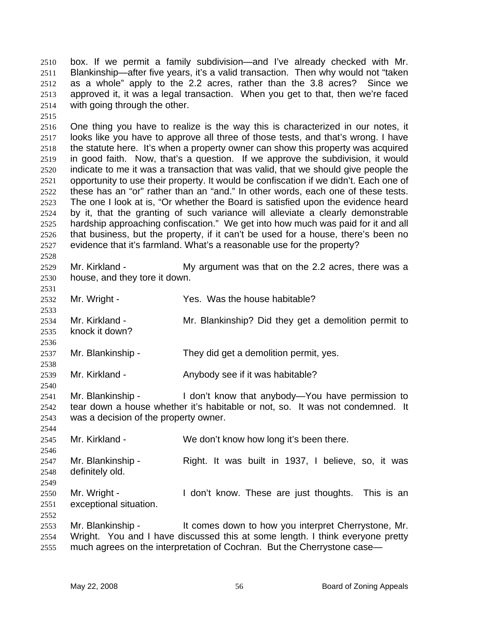box. If we permit a family subdivision—and I've already checked with Mr. Blankinship—after five years, it's a valid transaction. Then why would not "taken as a whole" apply to the 2.2 acres, rather than the 3.8 acres? Since we approved it, it was a legal transaction. When you get to that, then we're faced with going through the other. 2510 2511 2512 2513 2514

2515

2528

2536

2538

2540

2552

2516 2517 2518 2519 2520 2521 2522 2523 2524 2525 2526 2527 One thing you have to realize is the way this is characterized in our notes, it looks like you have to approve all three of those tests, and that's wrong. I have the statute here. It's when a property owner can show this property was acquired in good faith. Now, that's a question. If we approve the subdivision, it would indicate to me it was a transaction that was valid, that we should give people the opportunity to use their property. It would be confiscation if we didn't. Each one of these has an "or" rather than an "and." In other words, each one of these tests. The one I look at is, "Or whether the Board is satisfied upon the evidence heard by it, that the granting of such variance will alleviate a clearly demonstrable hardship approaching confiscation." We get into how much was paid for it and all that business, but the property, if it can't be used for a house, there's been no evidence that it's farmland. What's a reasonable use for the property?

- 2529 2530 Mr. Kirkland - The My argument was that on the 2.2 acres, there was a house, and they tore it down.
- 2531 2532 2533 Mr. Wright - Yes. Was the house habitable?
- 2534 2535 Mr. Kirkland - The Mr. Blankinship? Did they get a demolition permit to knock it down?
- 2537 Mr. Blankinship - They did get a demolition permit, yes.
- 2539 Mr. Kirkland - Anybody see if it was habitable?
- 2541 2542 2543 Mr. Blankinship - I don't know that anybody—You have permission to tear down a house whether it's habitable or not, so. It was not condemned. It was a decision of the property owner.
- 2544 2545 2546 2547 2548 2549 2550 2551 Mr. Kirkland - We don't know how long it's been there. Mr. Blankinship - Right. It was built in 1937, I believe, so, it was definitely old. Mr. Wright - The I don't know. These are just thoughts. This is an exceptional situation.
- 2553 2554 2555 Mr. Blankinship - It comes down to how you interpret Cherrystone, Mr. Wright. You and I have discussed this at some length. I think everyone pretty much agrees on the interpretation of Cochran. But the Cherrystone case—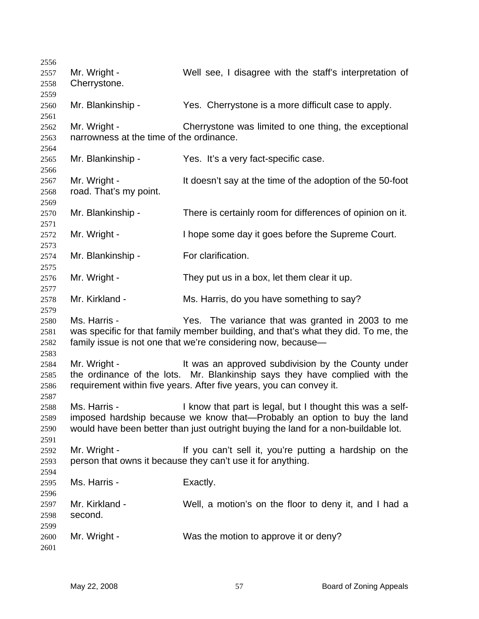| 2556 |                                          |                                                                                    |  |  |
|------|------------------------------------------|------------------------------------------------------------------------------------|--|--|
| 2557 | Mr. Wright -                             | Well see, I disagree with the staff's interpretation of                            |  |  |
| 2558 | Cherrystone.                             |                                                                                    |  |  |
| 2559 |                                          |                                                                                    |  |  |
| 2560 | Mr. Blankinship -                        | Yes. Cherrystone is a more difficult case to apply.                                |  |  |
| 2561 |                                          |                                                                                    |  |  |
| 2562 | Mr. Wright -                             | Cherrystone was limited to one thing, the exceptional                              |  |  |
| 2563 | narrowness at the time of the ordinance. |                                                                                    |  |  |
| 2564 |                                          |                                                                                    |  |  |
| 2565 | Mr. Blankinship -                        | Yes. It's a very fact-specific case.                                               |  |  |
| 2566 |                                          |                                                                                    |  |  |
| 2567 | Mr. Wright -                             | It doesn't say at the time of the adoption of the 50-foot                          |  |  |
|      |                                          |                                                                                    |  |  |
| 2568 | road. That's my point.                   |                                                                                    |  |  |
| 2569 |                                          |                                                                                    |  |  |
| 2570 | Mr. Blankinship -                        | There is certainly room for differences of opinion on it.                          |  |  |
| 2571 |                                          |                                                                                    |  |  |
| 2572 | Mr. Wright -                             | I hope some day it goes before the Supreme Court.                                  |  |  |
| 2573 |                                          |                                                                                    |  |  |
| 2574 | Mr. Blankinship -                        | For clarification.                                                                 |  |  |
| 2575 |                                          |                                                                                    |  |  |
| 2576 | Mr. Wright -                             | They put us in a box, let them clear it up.                                        |  |  |
| 2577 |                                          |                                                                                    |  |  |
| 2578 | Mr. Kirkland -                           | Ms. Harris, do you have something to say?                                          |  |  |
| 2579 |                                          |                                                                                    |  |  |
| 2580 | Ms. Harris -                             | Yes. The variance that was granted in 2003 to me                                   |  |  |
| 2581 |                                          | was specific for that family member building, and that's what they did. To me, the |  |  |
| 2582 |                                          | family issue is not one that we're considering now, because-                       |  |  |
| 2583 |                                          |                                                                                    |  |  |
| 2584 | Mr. Wright -                             | It was an approved subdivision by the County under                                 |  |  |
| 2585 |                                          | the ordinance of the lots. Mr. Blankinship says they have complied with the        |  |  |
| 2586 |                                          | requirement within five years. After five years, you can convey it.                |  |  |
| 2587 |                                          |                                                                                    |  |  |
| 2588 | Ms. Harris -                             | I know that part is legal, but I thought this was a self-                          |  |  |
| 2589 |                                          | imposed hardship because we know that—Probably an option to buy the land           |  |  |
| 2590 |                                          | would have been better than just outright buying the land for a non-buildable lot. |  |  |
| 2591 |                                          |                                                                                    |  |  |
| 2592 | Mr. Wright -                             | If you can't sell it, you're putting a hardship on the                             |  |  |
| 2593 |                                          | person that owns it because they can't use it for anything.                        |  |  |
| 2594 |                                          |                                                                                    |  |  |
| 2595 | Ms. Harris -                             | Exactly.                                                                           |  |  |
| 2596 |                                          |                                                                                    |  |  |
| 2597 | Mr. Kirkland -                           | Well, a motion's on the floor to deny it, and I had a                              |  |  |
| 2598 | second.                                  |                                                                                    |  |  |
| 2599 |                                          |                                                                                    |  |  |
|      | Mr. Wright -                             | Was the motion to approve it or deny?                                              |  |  |
| 2600 |                                          |                                                                                    |  |  |
| 2601 |                                          |                                                                                    |  |  |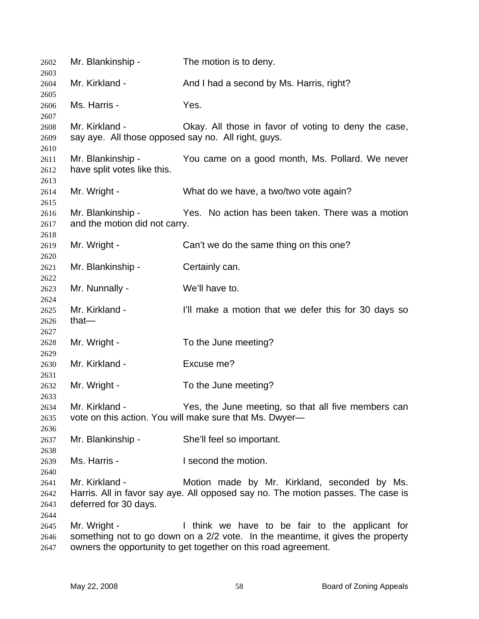| 2602                         | Mr. Blankinship -                                                     | The motion is to deny.                                                                                                                                                                              |
|------------------------------|-----------------------------------------------------------------------|-----------------------------------------------------------------------------------------------------------------------------------------------------------------------------------------------------|
| 2603<br>2604                 | Mr. Kirkland -                                                        | And I had a second by Ms. Harris, right?                                                                                                                                                            |
| 2605<br>2606                 | Ms. Harris -                                                          | Yes.                                                                                                                                                                                                |
| 2607<br>2608<br>2609         | Mr. Kirkland -<br>say aye. All those opposed say no. All right, guys. | Okay. All those in favor of voting to deny the case,                                                                                                                                                |
| 2610<br>2611<br>2612         | Mr. Blankinship -<br>have split votes like this.                      | You came on a good month, Ms. Pollard. We never                                                                                                                                                     |
| 2613<br>2614<br>2615         | Mr. Wright -                                                          | What do we have, a two/two vote again?                                                                                                                                                              |
| 2616<br>2617                 | Mr. Blankinship -<br>and the motion did not carry.                    | Yes. No action has been taken. There was a motion                                                                                                                                                   |
| 2618<br>2619<br>2620         | Mr. Wright -                                                          | Can't we do the same thing on this one?                                                                                                                                                             |
| 2621<br>2622                 | Mr. Blankinship -                                                     | Certainly can.                                                                                                                                                                                      |
| 2623<br>2624                 | Mr. Nunnally -                                                        | We'll have to.                                                                                                                                                                                      |
| 2625<br>2626                 | Mr. Kirkland -<br>that $-$                                            | I'll make a motion that we defer this for 30 days so                                                                                                                                                |
| 2627<br>2628                 | Mr. Wright -                                                          | To the June meeting?                                                                                                                                                                                |
| 2629<br>2630                 | Mr. Kirkland -                                                        | Excuse me?                                                                                                                                                                                          |
| 2631<br>2632<br>2633         | Mr. Wright -                                                          | To the June meeting?                                                                                                                                                                                |
| 2634<br>2635                 | Mr. Kirkland -                                                        | Yes, the June meeting, so that all five members can<br>vote on this action. You will make sure that Ms. Dwyer-                                                                                      |
| 2636<br>2637                 | Mr. Blankinship -                                                     | She'll feel so important.                                                                                                                                                                           |
| 2638<br>2639<br>2640         | Ms. Harris -                                                          | I second the motion.                                                                                                                                                                                |
| 2641<br>2642<br>2643<br>2644 | Mr. Kirkland -<br>deferred for 30 days.                               | Motion made by Mr. Kirkland, seconded by Ms.<br>Harris. All in favor say aye. All opposed say no. The motion passes. The case is                                                                    |
| 2645<br>2646<br>2647         | Mr. Wright -                                                          | I think we have to be fair to the applicant for<br>something not to go down on a 2/2 vote. In the meantime, it gives the property<br>owners the opportunity to get together on this road agreement. |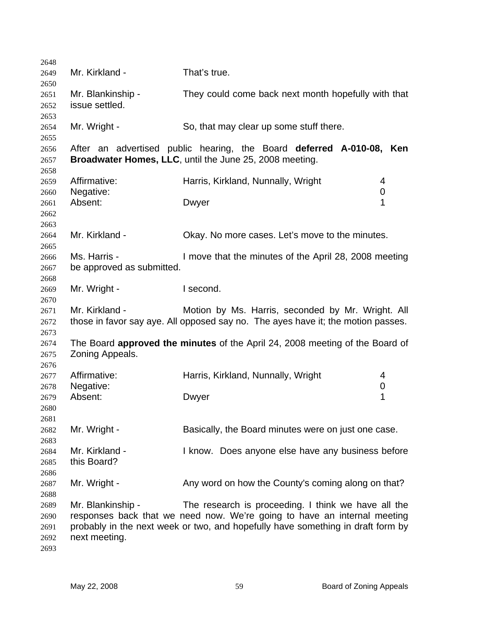| 2648 |                                                                                                                                                             |                                                                                     |   |  |
|------|-------------------------------------------------------------------------------------------------------------------------------------------------------------|-------------------------------------------------------------------------------------|---|--|
| 2649 | Mr. Kirkland -                                                                                                                                              | That's true.                                                                        |   |  |
| 2650 |                                                                                                                                                             |                                                                                     |   |  |
| 2651 | Mr. Blankinship -                                                                                                                                           | They could come back next month hopefully with that                                 |   |  |
| 2652 | issue settled.                                                                                                                                              |                                                                                     |   |  |
| 2653 |                                                                                                                                                             |                                                                                     |   |  |
| 2654 | Mr. Wright -                                                                                                                                                | So, that may clear up some stuff there.                                             |   |  |
| 2655 |                                                                                                                                                             |                                                                                     |   |  |
| 2656 |                                                                                                                                                             | After an advertised public hearing, the Board deferred A-010-08, Ken                |   |  |
| 2657 |                                                                                                                                                             | Broadwater Homes, LLC, until the June 25, 2008 meeting.                             |   |  |
| 2658 |                                                                                                                                                             |                                                                                     |   |  |
| 2659 | Affirmative:                                                                                                                                                | Harris, Kirkland, Nunnally, Wright                                                  | 4 |  |
| 2660 | Negative:                                                                                                                                                   |                                                                                     | 0 |  |
| 2661 | Absent:                                                                                                                                                     | Dwyer                                                                               | 1 |  |
| 2662 |                                                                                                                                                             |                                                                                     |   |  |
| 2663 |                                                                                                                                                             |                                                                                     |   |  |
| 2664 | Mr. Kirkland -                                                                                                                                              | Okay. No more cases. Let's move to the minutes.                                     |   |  |
| 2665 |                                                                                                                                                             |                                                                                     |   |  |
| 2666 | Ms. Harris -                                                                                                                                                | I move that the minutes of the April 28, 2008 meeting                               |   |  |
| 2667 | be approved as submitted.                                                                                                                                   |                                                                                     |   |  |
| 2668 |                                                                                                                                                             |                                                                                     |   |  |
| 2669 | Mr. Wright -                                                                                                                                                | I second.                                                                           |   |  |
| 2670 |                                                                                                                                                             |                                                                                     |   |  |
| 2671 | Mr. Kirkland -                                                                                                                                              | Motion by Ms. Harris, seconded by Mr. Wright. All                                   |   |  |
| 2672 |                                                                                                                                                             | those in favor say aye. All opposed say no. The ayes have it; the motion passes.    |   |  |
| 2673 |                                                                                                                                                             |                                                                                     |   |  |
| 2674 |                                                                                                                                                             | The Board <b>approved the minutes</b> of the April 24, 2008 meeting of the Board of |   |  |
| 2675 | Zoning Appeals.                                                                                                                                             |                                                                                     |   |  |
| 2676 |                                                                                                                                                             |                                                                                     |   |  |
| 2677 | Affirmative:                                                                                                                                                | Harris, Kirkland, Nunnally, Wright                                                  | 4 |  |
| 2678 | Negative:                                                                                                                                                   |                                                                                     | 0 |  |
| 2679 | Absent:                                                                                                                                                     | Dwyer                                                                               | 1 |  |
| 2680 |                                                                                                                                                             |                                                                                     |   |  |
| 2681 |                                                                                                                                                             |                                                                                     |   |  |
| 2682 | Mr. Wright -                                                                                                                                                | Basically, the Board minutes were on just one case.                                 |   |  |
| 2683 |                                                                                                                                                             |                                                                                     |   |  |
| 2684 | Mr. Kirkland -                                                                                                                                              | I know. Does anyone else have any business before                                   |   |  |
| 2685 | this Board?                                                                                                                                                 |                                                                                     |   |  |
| 2686 |                                                                                                                                                             |                                                                                     |   |  |
| 2687 | Mr. Wright -                                                                                                                                                | Any word on how the County's coming along on that?                                  |   |  |
| 2688 |                                                                                                                                                             |                                                                                     |   |  |
|      | Mr. Blankinship -                                                                                                                                           |                                                                                     |   |  |
| 2689 | The research is proceeding. I think we have all the                                                                                                         |                                                                                     |   |  |
| 2690 | responses back that we need now. We're going to have an internal meeting<br>probably in the next week or two, and hopefully have something in draft form by |                                                                                     |   |  |
| 2691 |                                                                                                                                                             |                                                                                     |   |  |
| 2692 | next meeting.                                                                                                                                               |                                                                                     |   |  |
| 2693 |                                                                                                                                                             |                                                                                     |   |  |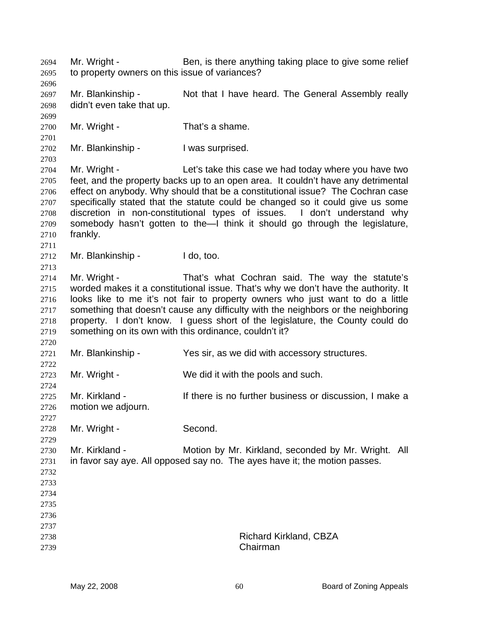Mr. Wright - Ben, is there anything taking place to give some relief to property owners on this issue of variances? Mr. Blankinship - Not that I have heard. The General Assembly really didn't even take that up. Mr. Wright - That's a shame. Mr. Blankinship - I was surprised. Mr. Wright - Let's take this case we had today where you have two feet, and the property backs up to an open area. It couldn't have any detrimental effect on anybody. Why should that be a constitutional issue? The Cochran case specifically stated that the statute could be changed so it could give us some discretion in non-constitutional types of issues. I don't understand why somebody hasn't gotten to the—I think it should go through the legislature, frankly. Mr. Blankinship - I do, too. Mr. Wright - That's what Cochran said. The way the statute's worded makes it a constitutional issue. That's why we don't have the authority. It looks like to me it's not fair to property owners who just want to do a little something that doesn't cause any difficulty with the neighbors or the neighboring property. I don't know. I guess short of the legislature, the County could do something on its own with this ordinance, couldn't it? Mr. Blankinship - Yes sir, as we did with accessory structures. Mr. Wright - We did it with the pools and such. Mr. Kirkland - There is no further business or discussion, I make a motion we adjourn. Mr. Wright - Second. Mr. Kirkland - **Motion by Mr. Kirkland, seconded by Mr. Wright.** All in favor say aye. All opposed say no. The ayes have it; the motion passes. Richard Kirkland, CBZA Chairman